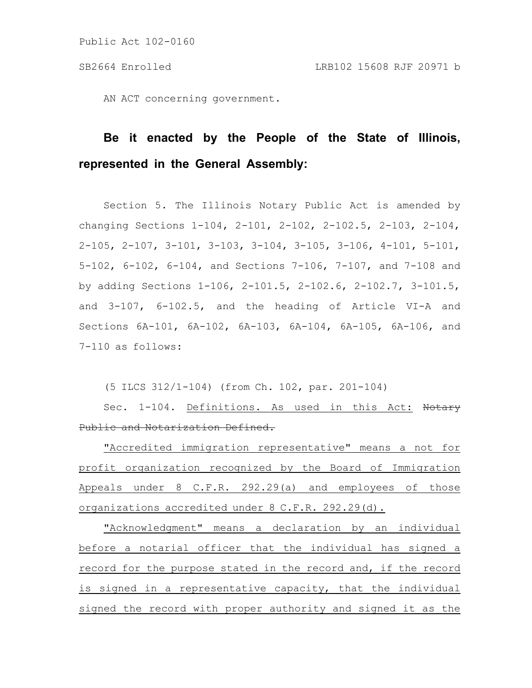AN ACT concerning government.

# **Be it enacted by the People of the State of Illinois, represented in the General Assembly:**

Section 5. The Illinois Notary Public Act is amended by changing Sections 1-104, 2-101, 2-102, 2-102.5, 2-103, 2-104, 2-105, 2-107, 3-101, 3-103, 3-104, 3-105, 3-106, 4-101, 5-101, 5-102, 6-102, 6-104, and Sections 7-106, 7-107, and 7-108 and by adding Sections 1-106, 2-101.5, 2-102.6, 2-102.7, 3-101.5, and 3-107, 6-102.5, and the heading of Article VI-A and Sections 6A-101, 6A-102, 6A-103, 6A-104, 6A-105, 6A-106, and 7-110 as follows:

(5 ILCS 312/1-104) (from Ch. 102, par. 201-104)

Sec. 1-104. Definitions. As used in this Act: Notary Public and Notarization Defined.

"Accredited immigration representative" means a not for profit organization recognized by the Board of Immigration Appeals under 8 C.F.R. 292.29(a) and employees of those organizations accredited under 8 C.F.R. 292.29(d).

"Acknowledgment" means a declaration by an individual before a notarial officer that the individual has signed a record for the purpose stated in the record and, if the record is signed in a representative capacity, that the individual signed the record with proper authority and signed it as the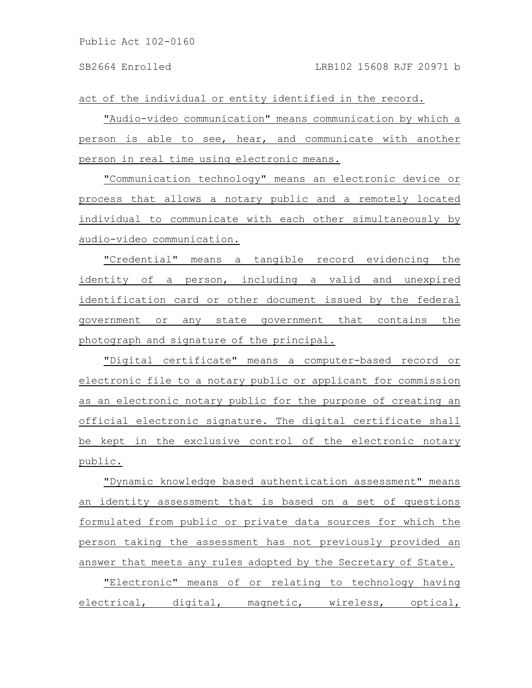act of the individual or entity identified in the record.

"Audio-video communication" means communication by which a person is able to see, hear, and communicate with another person in real time using electronic means.

"Communication technology" means an electronic device or process that allows a notary public and a remotely located individual to communicate with each other simultaneously by audio-video communication.

"Credential" means a tangible record evidencing the identity of a person, including a valid and unexpired identification card or other document issued by the federal government or any state government that contains the photograph and signature of the principal.

"Digital certificate" means a computer-based record or electronic file to a notary public or applicant for commission as an electronic notary public for the purpose of creating an official electronic signature. The digital certificate shall be kept in the exclusive control of the electronic notary public.

"Dynamic knowledge based authentication assessment" means an identity assessment that is based on a set of questions formulated from public or private data sources for which the person taking the assessment has not previously provided an answer that meets any rules adopted by the Secretary of State.

"Electronic" means of or relating to technology having electrical, digital, magnetic, wireless, optical,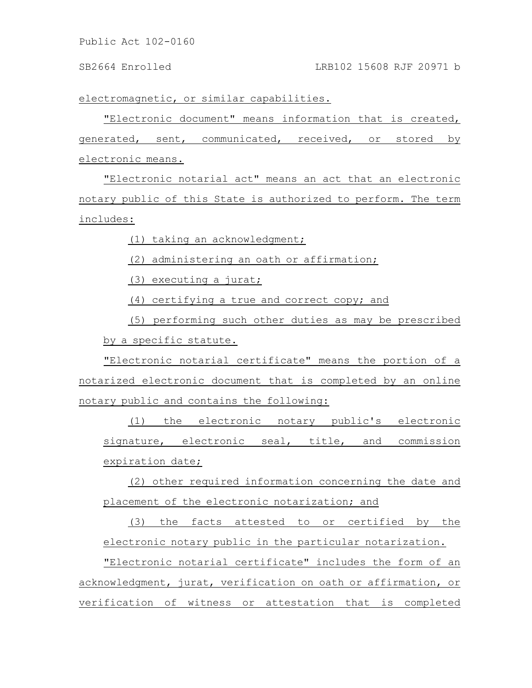# SB2664 Enrolled LRB102 15608 RJF 20971 b

electromagnetic, or similar capabilities.

"Electronic document" means information that is created, generated, sent, communicated, received, or stored by electronic means.

"Electronic notarial act" means an act that an electronic notary public of this State is authorized to perform. The term includes:

(1) taking an acknowledgment;

(2) administering an oath or affirmation;

(3) executing a jurat;

(4) certifying a true and correct copy; and

(5) performing such other duties as may be prescribed by a specific statute.

"Electronic notarial certificate" means the portion of a notarized electronic document that is completed by an online notary public and contains the following:

(1) the electronic notary public's electronic signature, electronic seal, title, and commission expiration date;

(2) other required information concerning the date and placement of the electronic notarization; and

(3) the facts attested to or certified by the electronic notary public in the particular notarization.

"Electronic notarial certificate" includes the form of an acknowledgment, jurat, verification on oath or affirmation, or verification of witness or attestation that is completed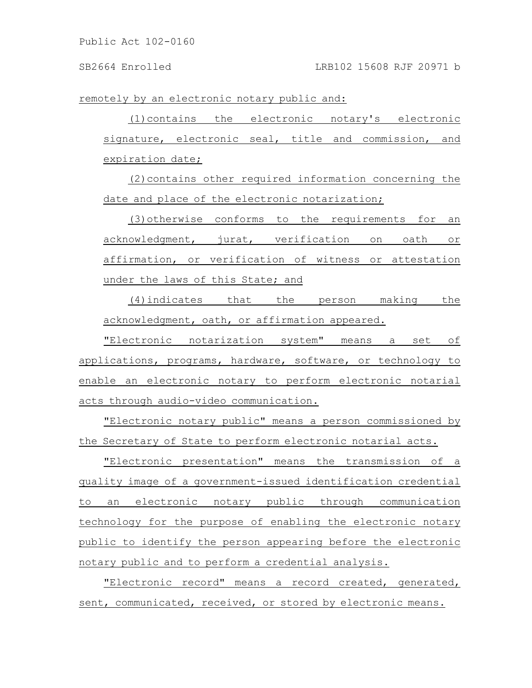remotely by an electronic notary public and:

(1)contains the electronic notary's electronic signature, electronic seal, title and commission, and expiration date;

(2)contains other required information concerning the date and place of the electronic notarization;

(3)otherwise conforms to the requirements for an acknowledgment, jurat, verification on oath or affirmation, or verification of witness or attestation under the laws of this State; and

(4)indicates that the person making the acknowledgment, oath, or affirmation appeared.

"Electronic notarization system" means a set of applications, programs, hardware, software, or technology to enable an electronic notary to perform electronic notarial acts through audio-video communication.

"Electronic notary public" means a person commissioned by the Secretary of State to perform electronic notarial acts.

"Electronic presentation" means the transmission of a quality image of a government-issued identification credential to an electronic notary public through communication technology for the purpose of enabling the electronic notary public to identify the person appearing before the electronic notary public and to perform a credential analysis.

"Electronic record" means a record created, generated, sent, communicated, received, or stored by electronic means.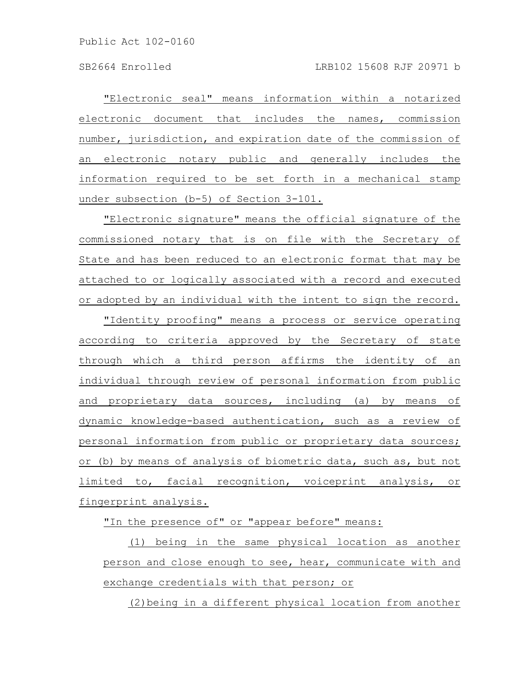"Electronic seal" means information within a notarized electronic document that includes the names, commission number, jurisdiction, and expiration date of the commission of an electronic notary public and generally includes the information required to be set forth in a mechanical stamp under subsection (b-5) of Section 3-101.

"Electronic signature" means the official signature of the commissioned notary that is on file with the Secretary of State and has been reduced to an electronic format that may be attached to or logically associated with a record and executed or adopted by an individual with the intent to sign the record.

"Identity proofing" means a process or service operating according to criteria approved by the Secretary of state through which a third person affirms the identity of an individual through review of personal information from public and proprietary data sources, including (a) by means of dynamic knowledge-based authentication, such as a review of personal information from public or proprietary data sources; or (b) by means of analysis of biometric data, such as, but not limited to, facial recognition, voiceprint analysis, or fingerprint analysis.

"In the presence of" or "appear before" means:

(1) being in the same physical location as another person and close enough to see, hear, communicate with and exchange credentials with that person; or

(2)being in a different physical location from another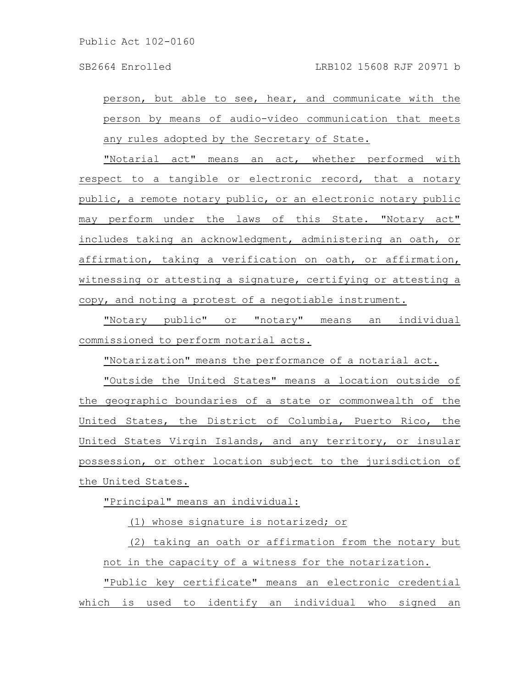person, but able to see, hear, and communicate with the person by means of audio-video communication that meets any rules adopted by the Secretary of State.

"Notarial act" means an act, whether performed with respect to a tangible or electronic record, that a notary public, a remote notary public, or an electronic notary public may perform under the laws of this State. "Notary act" includes taking an acknowledgment, administering an oath, or affirmation, taking a verification on oath, or affirmation, witnessing or attesting a signature, certifying or attesting a copy, and noting a protest of a negotiable instrument.

"Notary public" or "notary" means an individual commissioned to perform notarial acts.

"Notarization" means the performance of a notarial act.

"Outside the United States" means a location outside of the geographic boundaries of a state or commonwealth of the United States, the District of Columbia, Puerto Rico, the United States Virgin Islands, and any territory, or insular possession, or other location subject to the jurisdiction of the United States.

"Principal" means an individual:

(1) whose signature is notarized; or

(2) taking an oath or affirmation from the notary but not in the capacity of a witness for the notarization.

"Public key certificate" means an electronic credential which is used to identify an individual who signed an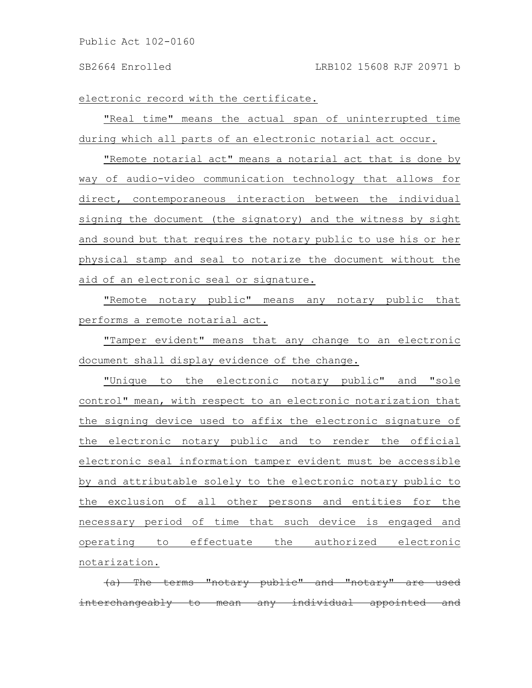#### SB2664 Enrolled LRB102 15608 RJF 20971 b

electronic record with the certificate.

"Real time" means the actual span of uninterrupted time during which all parts of an electronic notarial act occur.

"Remote notarial act" means a notarial act that is done by way of audio-video communication technology that allows for direct, contemporaneous interaction between the individual signing the document (the signatory) and the witness by sight and sound but that requires the notary public to use his or her physical stamp and seal to notarize the document without the aid of an electronic seal or signature.

"Remote notary public" means any notary public that performs a remote notarial act.

"Tamper evident" means that any change to an electronic document shall display evidence of the change.

"Unique to the electronic notary public" and "sole control" mean, with respect to an electronic notarization that the signing device used to affix the electronic signature of the electronic notary public and to render the official electronic seal information tamper evident must be accessible by and attributable solely to the electronic notary public to the exclusion of all other persons and entities for the necessary period of time that such device is engaged and operating to effectuate the authorized electronic notarization.

 $(a)$  The terms "notary public" and "notary" interchangeably to mean any individual appointed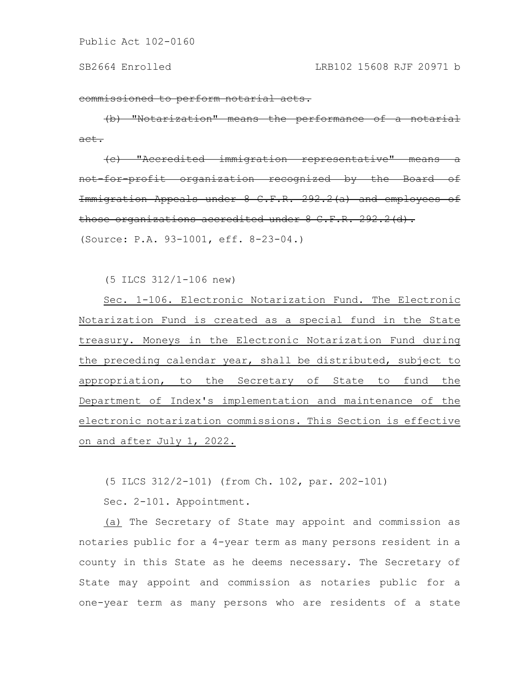commissioned to perform notarial acts.

(b) "Notarization" means the performance of a notarial act.

(c) "Accredited immigration representative" means a not-for-profit organization recognized by the Board of Immigration Appeals under 8 C.F.R. 292.2(a) and employees of those organizations accredited under 8 C.F.R. 292.2(d).

(Source: P.A. 93-1001, eff. 8-23-04.)

(5 ILCS 312/1-106 new)

Sec. 1-106. Electronic Notarization Fund. The Electronic Notarization Fund is created as a special fund in the State treasury. Moneys in the Electronic Notarization Fund during the preceding calendar year, shall be distributed, subject to appropriation, to the Secretary of State to fund the Department of Index's implementation and maintenance of the electronic notarization commissions. This Section is effective on and after July 1, 2022.

(5 ILCS 312/2-101) (from Ch. 102, par. 202-101)

Sec. 2-101. Appointment.

(a) The Secretary of State may appoint and commission as notaries public for a 4-year term as many persons resident in a county in this State as he deems necessary. The Secretary of State may appoint and commission as notaries public for a one-year term as many persons who are residents of a state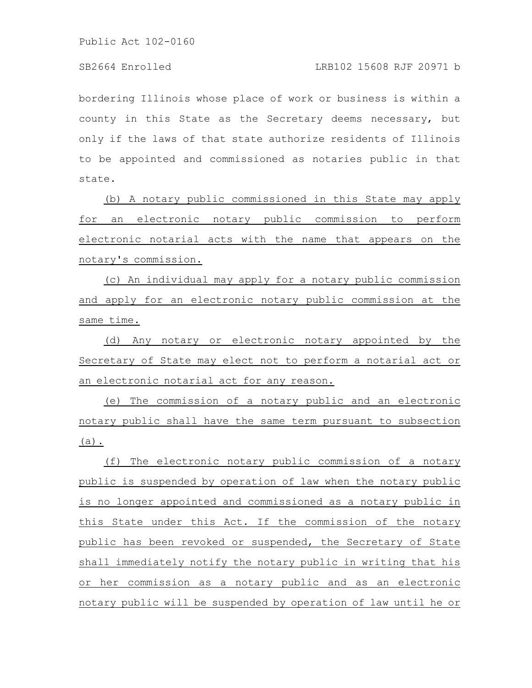bordering Illinois whose place of work or business is within a county in this State as the Secretary deems necessary, but only if the laws of that state authorize residents of Illinois to be appointed and commissioned as notaries public in that state.

(b) A notary public commissioned in this State may apply for an electronic notary public commission to perform electronic notarial acts with the name that appears on the notary's commission.

(c) An individual may apply for a notary public commission and apply for an electronic notary public commission at the same time.

(d) Any notary or electronic notary appointed by the Secretary of State may elect not to perform a notarial act or an electronic notarial act for any reason.

(e) The commission of a notary public and an electronic notary public shall have the same term pursuant to subsection (a).

(f) The electronic notary public commission of a notary public is suspended by operation of law when the notary public is no longer appointed and commissioned as a notary public in this State under this Act. If the commission of the notary public has been revoked or suspended, the Secretary of State shall immediately notify the notary public in writing that his or her commission as a notary public and as an electronic notary public will be suspended by operation of law until he or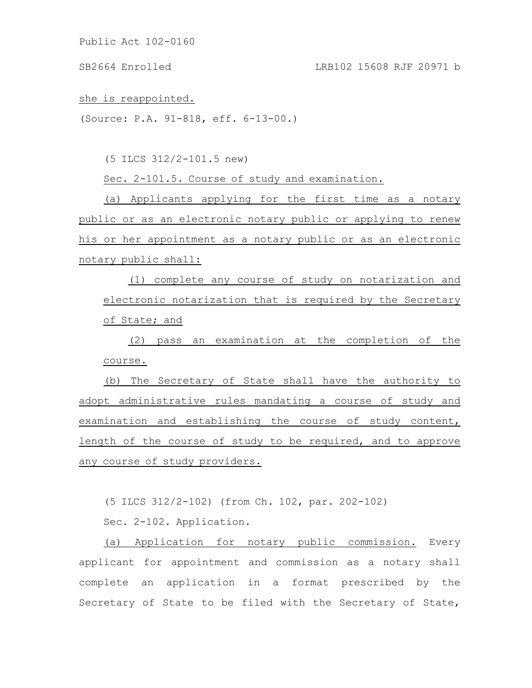SB2664 Enrolled LRB102 15608 RJF 20971 b

she is reappointed.

(Source: P.A. 91-818, eff. 6-13-00.)

(5 ILCS 312/2-101.5 new)

Sec. 2-101.5. Course of study and examination.

(a) Applicants applying for the first time as a notary public or as an electronic notary public or applying to renew his or her appointment as a notary public or as an electronic notary public shall:

(1) complete any course of study on notarization and electronic notarization that is required by the Secretary of State; and

(2) pass an examination at the completion of the course.

(b) The Secretary of State shall have the authority to adopt administrative rules mandating a course of study and examination and establishing the course of study content, length of the course of study to be required, and to approve any course of study providers.

(5 ILCS 312/2-102) (from Ch. 102, par. 202-102)

Sec. 2-102. Application.

(a) Application for notary public commission. Every applicant for appointment and commission as a notary shall complete an application in a format prescribed by the Secretary of State to be filed with the Secretary of State,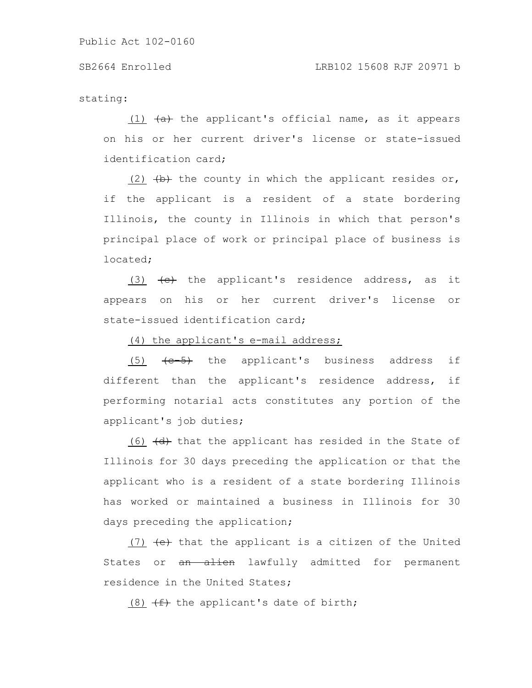stating:

(1)  $\left( \text{a} \right)$  the applicant's official name, as it appears on his or her current driver's license or state-issued identification card;

(2)  $(b)$  the county in which the applicant resides or, if the applicant is a resident of a state bordering Illinois, the county in Illinois in which that person's principal place of work or principal place of business is located;

(3)  $\left\{\text{e}\right\}$  the applicant's residence address, as it appears on his or her current driver's license or state-issued identification card;

(4) the applicant's e-mail address;

 $(5)$   $\leftarrow$   $\leftarrow$   $\leftarrow$   $\leftarrow$   $\leftarrow$   $\leftarrow$   $\leftarrow$   $\leftarrow$   $\leftarrow$   $\leftarrow$   $\leftarrow$   $\leftarrow$   $\leftarrow$   $\leftarrow$   $\leftarrow$   $\leftarrow$   $\leftarrow$   $\leftarrow$   $\leftarrow$   $\leftarrow$   $\leftarrow$   $\leftarrow$   $\leftarrow$   $\leftarrow$   $\leftarrow$   $\leftarrow$   $\leftarrow$   $\leftarrow$   $\leftarrow$   $\leftarrow$   $\leftarrow$   $\leftarrow$   $\leftarrow$   $\leftarrow$   $\leftarrow$   $\leftarrow$ different than the applicant's residence address, if performing notarial acts constitutes any portion of the applicant's job duties;

(6)  $\left(\frac{d}{dt}\right)$  that the applicant has resided in the State of Illinois for 30 days preceding the application or that the applicant who is a resident of a state bordering Illinois has worked or maintained a business in Illinois for 30 days preceding the application;

(7) (e) that the applicant is a citizen of the United States or an alien lawfully admitted for permanent residence in the United States;

(8)  $(f)$  the applicant's date of birth;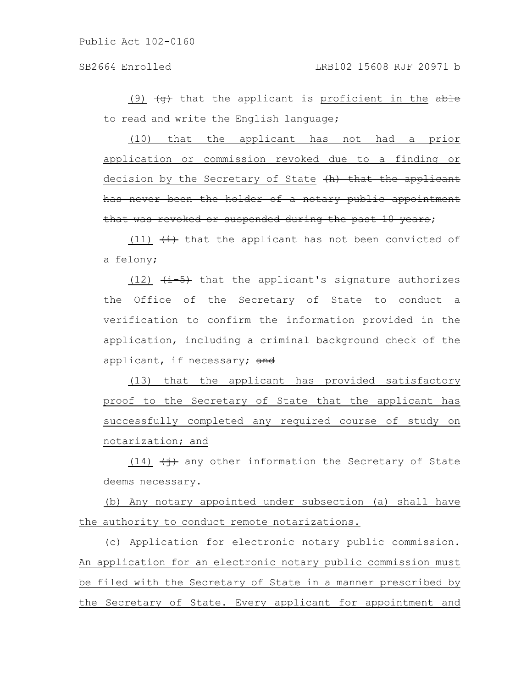(9)  $\left(\theta\right)$  that the applicant is proficient in the able to read and write the English language;

(10) that the applicant has not had a prior application or commission revoked due to a finding or decision by the Secretary of State (h) that the applicant has never been the holder of a notary public appointment that was revoked or suspended during the past 10 years;

(11)  $\overline{(i)}$  that the applicant has not been convicted of a felony;

(12)  $\leftarrow \leftarrow$  that the applicant's signature authorizes the Office of the Secretary of State to conduct a verification to confirm the information provided in the application, including a criminal background check of the applicant, if necessary; and

(13) that the applicant has provided satisfactory proof to the Secretary of State that the applicant has successfully completed any required course of study on notarization; and

(14)  $\overline{(+)}$  any other information the Secretary of State deems necessary.

(b) Any notary appointed under subsection (a) shall have the authority to conduct remote notarizations.

(c) Application for electronic notary public commission. An application for an electronic notary public commission must be filed with the Secretary of State in a manner prescribed by the Secretary of State. Every applicant for appointment and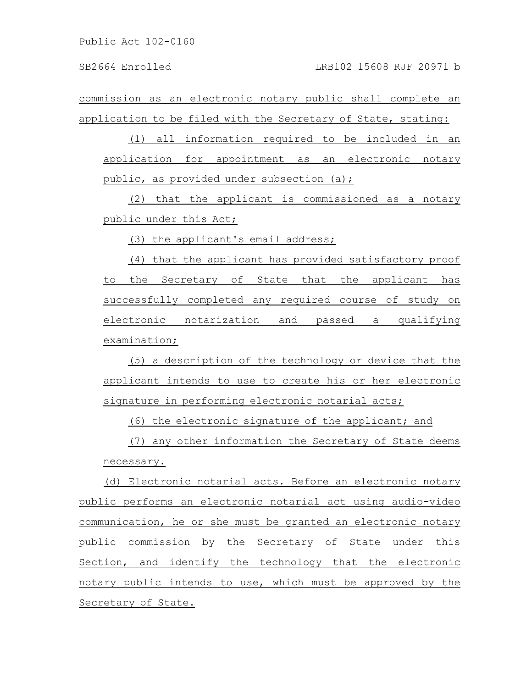commission as an electronic notary public shall complete an application to be filed with the Secretary of State, stating:

(1) all information required to be included in an application for appointment as an electronic notary public, as provided under subsection (a);

(2) that the applicant is commissioned as a notary public under this Act;

(3) the applicant's email address;

(4) that the applicant has provided satisfactory proof to the Secretary of State that the applicant has successfully completed any required course of study on electronic notarization and passed a qualifying examination;

(5) a description of the technology or device that the applicant intends to use to create his or her electronic signature in performing electronic notarial acts;

(6) the electronic signature of the applicant; and

(7) any other information the Secretary of State deems necessary.

(d) Electronic notarial acts. Before an electronic notary public performs an electronic notarial act using audio-video communication, he or she must be granted an electronic notary public commission by the Secretary of State under this Section, and identify the technology that the electronic notary public intends to use, which must be approved by the Secretary of State.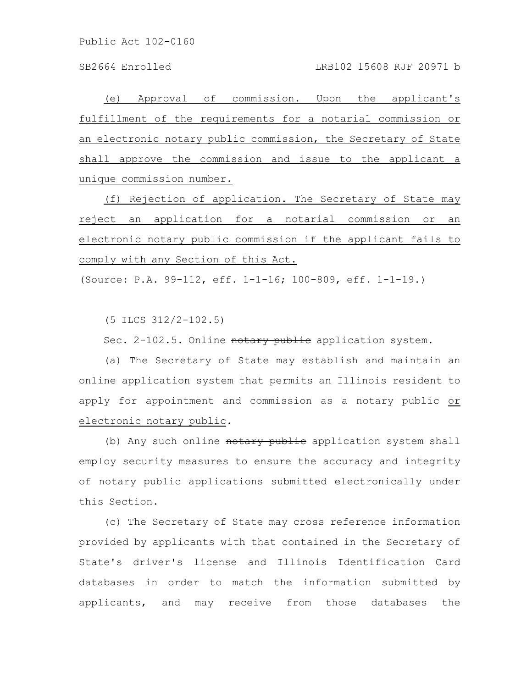SB2664 Enrolled LRB102 15608 RJF 20971 b

(e) Approval of commission. Upon the applicant's fulfillment of the requirements for a notarial commission or an electronic notary public commission, the Secretary of State shall approve the commission and issue to the applicant a unique commission number.

(f) Rejection of application. The Secretary of State may reject an application for a notarial commission or an electronic notary public commission if the applicant fails to comply with any Section of this Act.

(Source: P.A. 99-112, eff. 1-1-16; 100-809, eff. 1-1-19.)

(5 ILCS 312/2-102.5)

Sec. 2-102.5. Online notary public application system.

(a) The Secretary of State may establish and maintain an online application system that permits an Illinois resident to apply for appointment and commission as a notary public or electronic notary public.

(b) Any such online notary public application system shall employ security measures to ensure the accuracy and integrity of notary public applications submitted electronically under this Section.

(c) The Secretary of State may cross reference information provided by applicants with that contained in the Secretary of State's driver's license and Illinois Identification Card databases in order to match the information submitted by applicants, and may receive from those databases the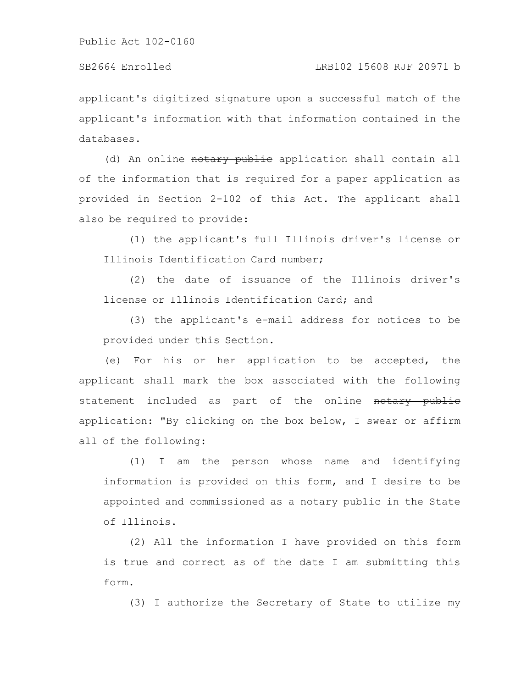applicant's digitized signature upon a successful match of the applicant's information with that information contained in the databases.

(d) An online notary public application shall contain all of the information that is required for a paper application as provided in Section 2-102 of this Act. The applicant shall also be required to provide:

(1) the applicant's full Illinois driver's license or Illinois Identification Card number;

(2) the date of issuance of the Illinois driver's license or Illinois Identification Card; and

(3) the applicant's e-mail address for notices to be provided under this Section.

(e) For his or her application to be accepted, the applicant shall mark the box associated with the following statement included as part of the online notary public application: "By clicking on the box below, I swear or affirm all of the following:

(1) I am the person whose name and identifying information is provided on this form, and I desire to be appointed and commissioned as a notary public in the State of Illinois.

(2) All the information I have provided on this form is true and correct as of the date I am submitting this form.

(3) I authorize the Secretary of State to utilize my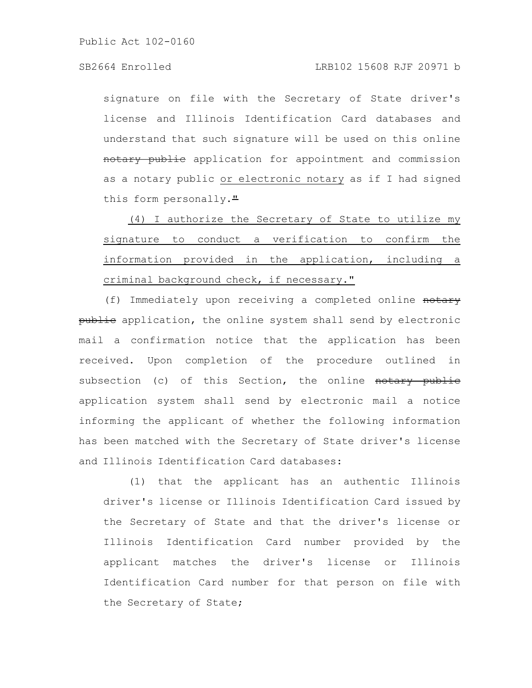# SB2664 Enrolled LRB102 15608 RJF 20971 b

signature on file with the Secretary of State driver's license and Illinois Identification Card databases and understand that such signature will be used on this online notary public application for appointment and commission as a notary public or electronic notary as if I had signed this form personally."

(4) I authorize the Secretary of State to utilize my signature to conduct a verification to confirm the information provided in the application, including a criminal background check, if necessary."

(f) Immediately upon receiving a completed online notary publie application, the online system shall send by electronic mail a confirmation notice that the application has been received. Upon completion of the procedure outlined in subsection (c) of this Section, the online notary public application system shall send by electronic mail a notice informing the applicant of whether the following information has been matched with the Secretary of State driver's license and Illinois Identification Card databases:

(1) that the applicant has an authentic Illinois driver's license or Illinois Identification Card issued by the Secretary of State and that the driver's license or Illinois Identification Card number provided by the applicant matches the driver's license or Illinois Identification Card number for that person on file with the Secretary of State;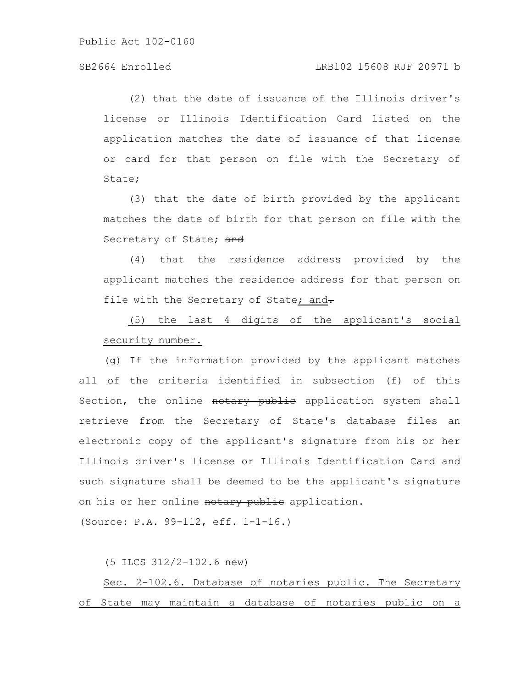# SB2664 Enrolled LRB102 15608 RJF 20971 b

(2) that the date of issuance of the Illinois driver's license or Illinois Identification Card listed on the application matches the date of issuance of that license or card for that person on file with the Secretary of State;

(3) that the date of birth provided by the applicant matches the date of birth for that person on file with the Secretary of State; and

(4) that the residence address provided by the applicant matches the residence address for that person on file with the Secretary of State; and-

(5) the last 4 digits of the applicant's social security number.

(g) If the information provided by the applicant matches all of the criteria identified in subsection (f) of this Section, the online notary public application system shall retrieve from the Secretary of State's database files an electronic copy of the applicant's signature from his or her Illinois driver's license or Illinois Identification Card and such signature shall be deemed to be the applicant's signature on his or her online notary public application.

(Source: P.A. 99-112, eff. 1-1-16.)

(5 ILCS 312/2-102.6 new)

Sec. 2-102.6. Database of notaries public. The Secretary of State may maintain a database of notaries public on a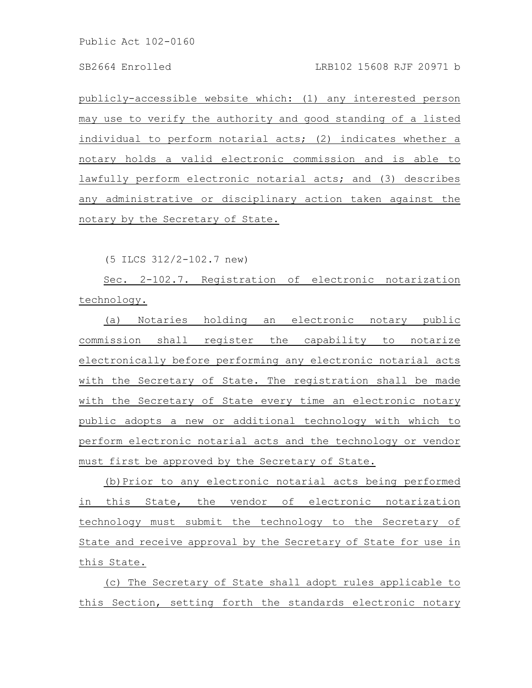publicly-accessible website which: (1) any interested person may use to verify the authority and good standing of a listed individual to perform notarial acts; (2) indicates whether a notary holds a valid electronic commission and is able to lawfully perform electronic notarial acts; and (3) describes any administrative or disciplinary action taken against the notary by the Secretary of State.

(5 ILCS 312/2-102.7 new)

Sec. 2-102.7. Registration of electronic notarization technology.

(a) Notaries holding an electronic notary public commission shall register the capability to notarize electronically before performing any electronic notarial acts with the Secretary of State. The registration shall be made with the Secretary of State every time an electronic notary public adopts a new or additional technology with which to perform electronic notarial acts and the technology or vendor must first be approved by the Secretary of State.

(b)Prior to any electronic notarial acts being performed in this State, the vendor of electronic notarization technology must submit the technology to the Secretary of State and receive approval by the Secretary of State for use in this State.

(c) The Secretary of State shall adopt rules applicable to this Section, setting forth the standards electronic notary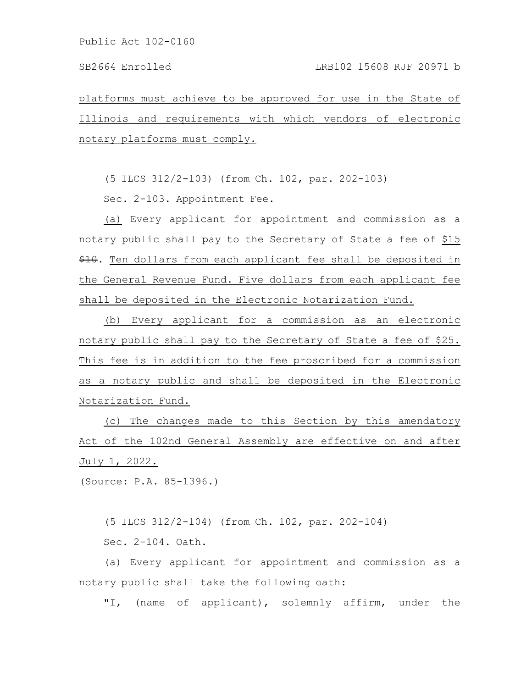platforms must achieve to be approved for use in the State of Illinois and requirements with which vendors of electronic notary platforms must comply.

(5 ILCS 312/2-103) (from Ch. 102, par. 202-103)

Sec. 2-103. Appointment Fee.

(a) Every applicant for appointment and commission as a notary public shall pay to the Secretary of State a fee of \$15  $$10.$  Ten dollars from each applicant fee shall be deposited in the General Revenue Fund. Five dollars from each applicant fee shall be deposited in the Electronic Notarization Fund.

(b) Every applicant for a commission as an electronic notary public shall pay to the Secretary of State a fee of \$25. This fee is in addition to the fee proscribed for a commission as a notary public and shall be deposited in the Electronic Notarization Fund.

(c) The changes made to this Section by this amendatory Act of the 102nd General Assembly are effective on and after July 1, 2022.

(Source: P.A. 85-1396.)

(5 ILCS 312/2-104) (from Ch. 102, par. 202-104)

Sec. 2-104. Oath.

(a) Every applicant for appointment and commission as a notary public shall take the following oath:

"I, (name of applicant), solemnly affirm, under the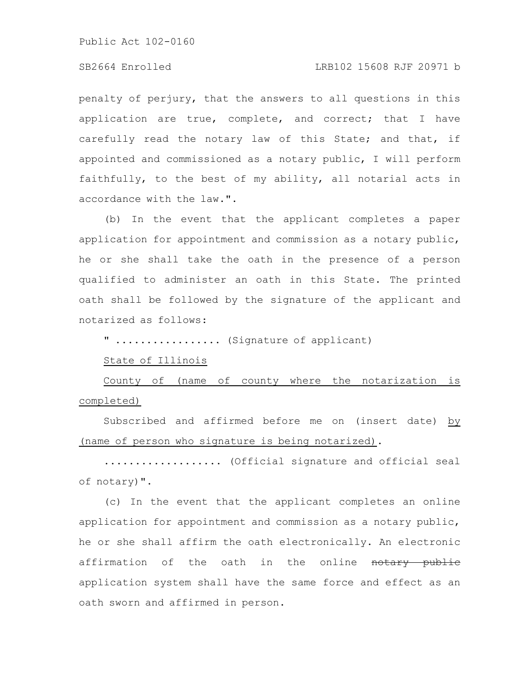# SB2664 Enrolled LRB102 15608 RJF 20971 b

penalty of perjury, that the answers to all questions in this application are true, complete, and correct; that I have carefully read the notary law of this State; and that, if appointed and commissioned as a notary public, I will perform faithfully, to the best of my ability, all notarial acts in accordance with the law.".

(b) In the event that the applicant completes a paper application for appointment and commission as a notary public, he or she shall take the oath in the presence of a person qualified to administer an oath in this State. The printed oath shall be followed by the signature of the applicant and notarized as follows:

" ................. (Signature of applicant)

#### State of Illinois

County of (name of county where the notarization is completed)

Subscribed and affirmed before me on (insert date) by (name of person who signature is being notarized).

................... (Official signature and official seal of notary)".

(c) In the event that the applicant completes an online application for appointment and commission as a notary public, he or she shall affirm the oath electronically. An electronic affirmation of the oath in the online notary publie application system shall have the same force and effect as an oath sworn and affirmed in person.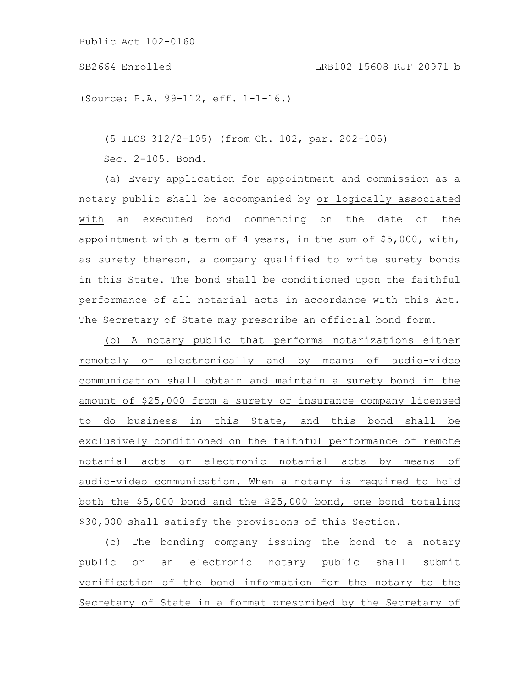### SB2664 Enrolled LRB102 15608 RJF 20971 b

(Source: P.A. 99-112, eff. 1-1-16.)

(5 ILCS 312/2-105) (from Ch. 102, par. 202-105)

Sec. 2-105. Bond.

(a) Every application for appointment and commission as a notary public shall be accompanied by or logically associated with an executed bond commencing on the date of the appointment with a term of 4 years, in the sum of \$5,000, with, as surety thereon, a company qualified to write surety bonds in this State. The bond shall be conditioned upon the faithful performance of all notarial acts in accordance with this Act. The Secretary of State may prescribe an official bond form.

(b) A notary public that performs notarizations either remotely or electronically and by means of audio-video communication shall obtain and maintain a surety bond in the amount of \$25,000 from a surety or insurance company licensed to do business in this State, and this bond shall be exclusively conditioned on the faithful performance of remote notarial acts or electronic notarial acts by means of audio-video communication. When a notary is required to hold both the \$5,000 bond and the \$25,000 bond, one bond totaling \$30,000 shall satisfy the provisions of this Section.

(c) The bonding company issuing the bond to a notary public or an electronic notary public shall submit verification of the bond information for the notary to the Secretary of State in a format prescribed by the Secretary of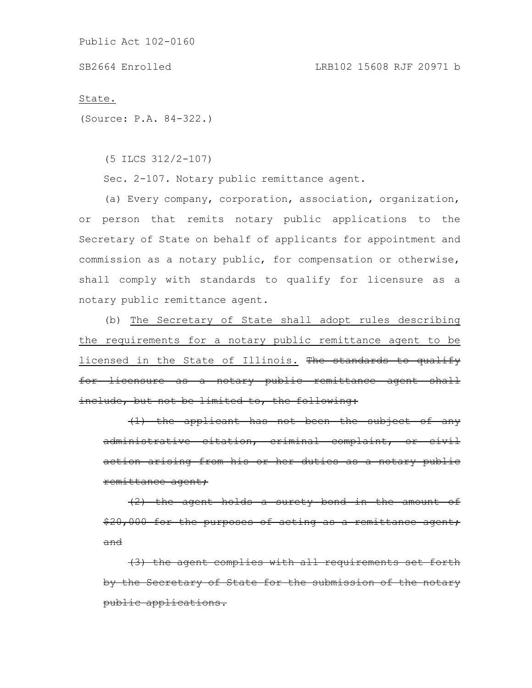State.

(Source: P.A. 84-322.)

(5 ILCS 312/2-107)

Sec. 2-107. Notary public remittance agent.

(a) Every company, corporation, association, organization, or person that remits notary public applications to the Secretary of State on behalf of applicants for appointment and commission as a notary public, for compensation or otherwise, shall comply with standards to qualify for licensure as a notary public remittance agent.

(b) The Secretary of State shall adopt rules describing the requirements for a notary public remittance agent to be licensed in the State of Illinois. The standards to qualify for licensure as a notary public remittance agent shall include, but not be limited to, the following:

(1) the applicant has not been the subject of any administrative citation, criminal complaint, action arising from his or her duties as a notary public remittance agent;

 $(2)$  the agent holds a surety bond in the \$20,000 for the purposes of acting as a remittance agent; and

(3) the agent complies with all requirements set forth by the Secretary of State for the submission of the notary public applications.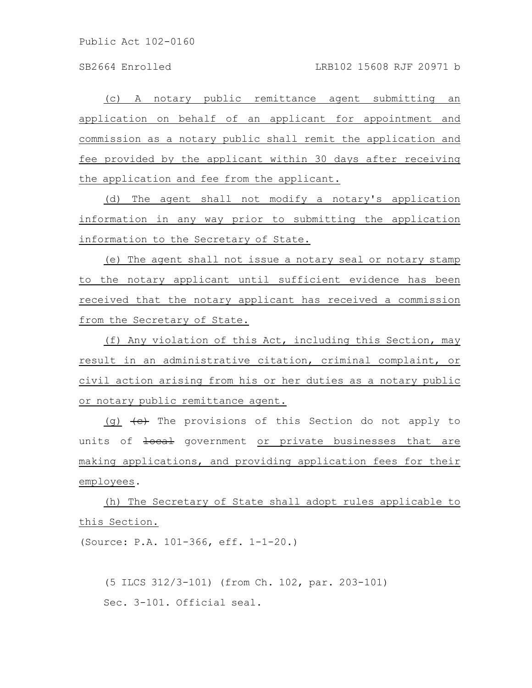(c) A notary public remittance agent submitting an application on behalf of an applicant for appointment and commission as a notary public shall remit the application and fee provided by the applicant within 30 days after receiving the application and fee from the applicant.

(d) The agent shall not modify a notary's application information in any way prior to submitting the application information to the Secretary of State.

(e) The agent shall not issue a notary seal or notary stamp to the notary applicant until sufficient evidence has been received that the notary applicant has received a commission from the Secretary of State.

(f) Any violation of this Act, including this Section, may result in an administrative citation, criminal complaint, or civil action arising from his or her duties as a notary public or notary public remittance agent.

(g)  $\left\{\leftrightarrow\right\}$  The provisions of this Section do not apply to units of  $\frac{1}{1}$  dovernment or private businesses that are making applications, and providing application fees for their employees.

(h) The Secretary of State shall adopt rules applicable to this Section.

(Source: P.A. 101-366, eff. 1-1-20.)

(5 ILCS 312/3-101) (from Ch. 102, par. 203-101) Sec. 3-101. Official seal.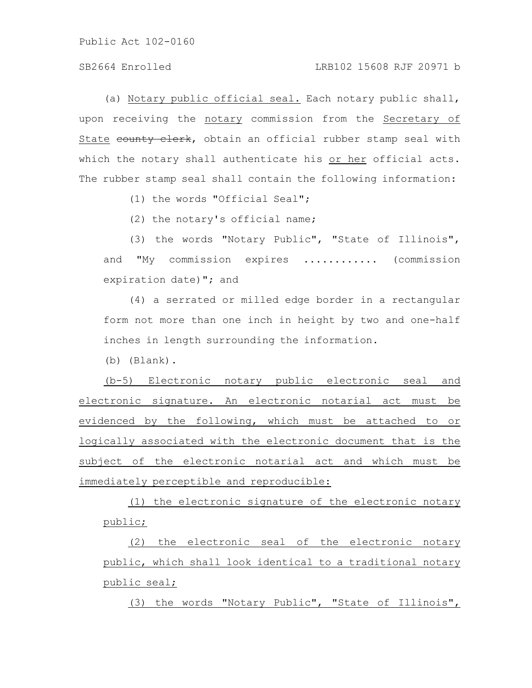# SB2664 Enrolled LRB102 15608 RJF 20971 b

(a) Notary public official seal. Each notary public shall, upon receiving the notary commission from the Secretary of State county clerk, obtain an official rubber stamp seal with which the notary shall authenticate his or her official acts. The rubber stamp seal shall contain the following information:

(1) the words "Official Seal";

(2) the notary's official name;

(3) the words "Notary Public", "State of Illinois", and "My commission expires ............ (commission expiration date)"; and

(4) a serrated or milled edge border in a rectangular form not more than one inch in height by two and one-half inches in length surrounding the information.

(b) (Blank).

(b-5) Electronic notary public electronic seal and electronic signature. An electronic notarial act must be evidenced by the following, which must be attached to or logically associated with the electronic document that is the subject of the electronic notarial act and which must be immediately perceptible and reproducible:

(1) the electronic signature of the electronic notary public;

(2) the electronic seal of the electronic notary public, which shall look identical to a traditional notary public seal;

(3) the words "Notary Public", "State of Illinois",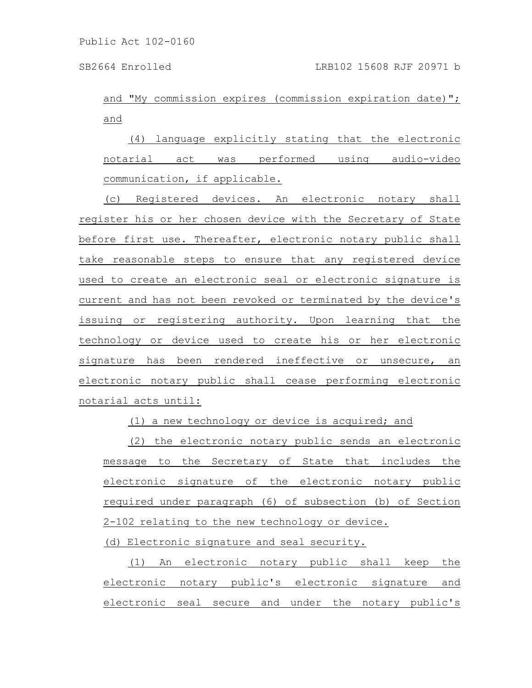and "My commission expires (commission expiration date)"; and

(4) language explicitly stating that the electronic notarial act was performed using audio-video communication, if applicable.

(c) Registered devices. An electronic notary shall register his or her chosen device with the Secretary of State before first use. Thereafter, electronic notary public shall take reasonable steps to ensure that any registered device used to create an electronic seal or electronic signature is current and has not been revoked or terminated by the device's issuing or registering authority. Upon learning that the technology or device used to create his or her electronic signature has been rendered ineffective or unsecure, an electronic notary public shall cease performing electronic notarial acts until:

(1) a new technology or device is acquired; and

(2) the electronic notary public sends an electronic message to the Secretary of State that includes the electronic signature of the electronic notary public required under paragraph (6) of subsection (b) of Section 2-102 relating to the new technology or device.

(d) Electronic signature and seal security.

(1) An electronic notary public shall keep the electronic notary public's electronic signature and electronic seal secure and under the notary public's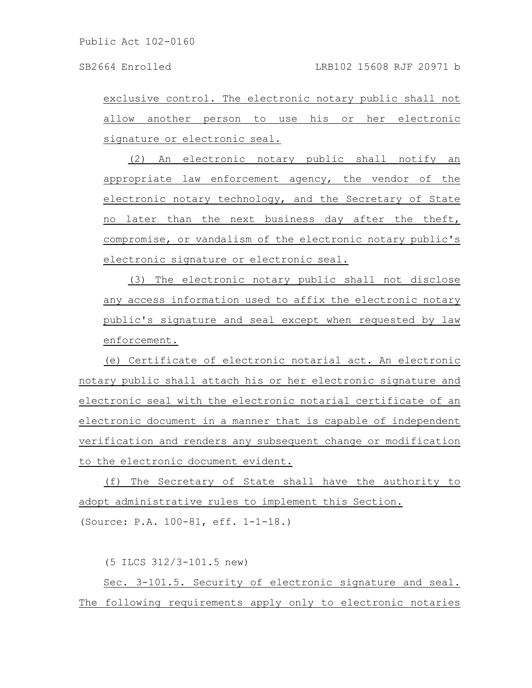exclusive control. The electronic notary public shall not allow another person to use his or her electronic signature or electronic seal.

(2) An electronic notary public shall notify an appropriate law enforcement agency, the vendor of the electronic notary technology, and the Secretary of State no later than the next business day after the theft, compromise, or vandalism of the electronic notary public's electronic signature or electronic seal.

(3) The electronic notary public shall not disclose any access information used to affix the electronic notary public's signature and seal except when requested by law enforcement.

(e) Certificate of electronic notarial act. An electronic notary public shall attach his or her electronic signature and electronic seal with the electronic notarial certificate of an electronic document in a manner that is capable of independent verification and renders any subsequent change or modification to the electronic document evident.

(f) The Secretary of State shall have the authority to adopt administrative rules to implement this Section. (Source: P.A. 100-81, eff. 1-1-18.)

(5 ILCS 312/3-101.5 new)

Sec. 3-101.5. Security of electronic signature and seal. The following requirements apply only to electronic notaries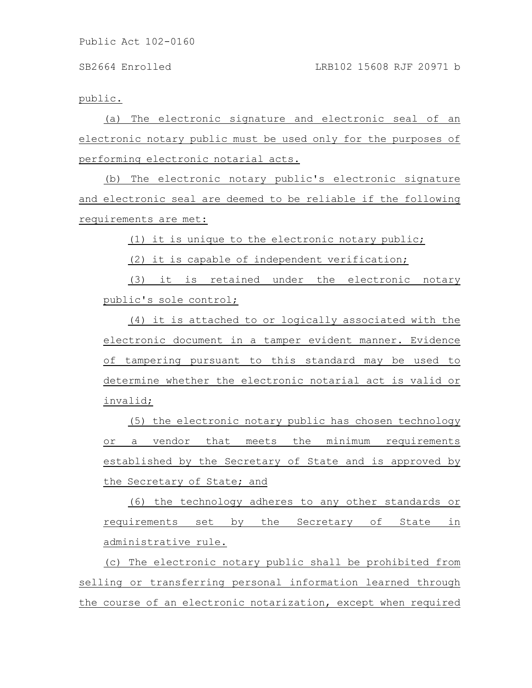public.

(a) The electronic signature and electronic seal of an electronic notary public must be used only for the purposes of performing electronic notarial acts.

(b) The electronic notary public's electronic signature and electronic seal are deemed to be reliable if the following requirements are met:

(1) it is unique to the electronic notary public;

(2) it is capable of independent verification;

(3) it is retained under the electronic notary public's sole control;

(4) it is attached to or logically associated with the electronic document in a tamper evident manner. Evidence of tampering pursuant to this standard may be used to determine whether the electronic notarial act is valid or invalid;

(5) the electronic notary public has chosen technology or a vendor that meets the minimum requirements established by the Secretary of State and is approved by the Secretary of State; and

(6) the technology adheres to any other standards or requirements set by the Secretary of State in administrative rule.

(c) The electronic notary public shall be prohibited from selling or transferring personal information learned through the course of an electronic notarization, except when required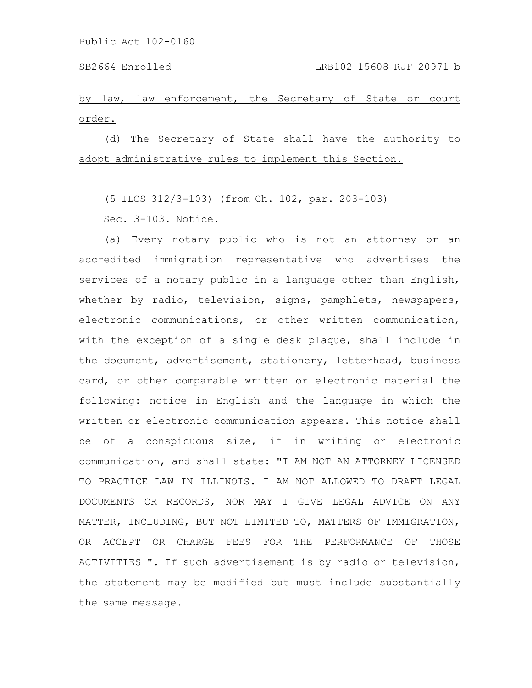by law, law enforcement, the Secretary of State or court order.

(d) The Secretary of State shall have the authority to adopt administrative rules to implement this Section.

(5 ILCS 312/3-103) (from Ch. 102, par. 203-103)

Sec. 3-103. Notice.

(a) Every notary public who is not an attorney or an accredited immigration representative who advertises the services of a notary public in a language other than English, whether by radio, television, signs, pamphlets, newspapers, electronic communications, or other written communication, with the exception of a single desk plaque, shall include in the document, advertisement, stationery, letterhead, business card, or other comparable written or electronic material the following: notice in English and the language in which the written or electronic communication appears. This notice shall be of a conspicuous size, if in writing or electronic communication, and shall state: "I AM NOT AN ATTORNEY LICENSED TO PRACTICE LAW IN ILLINOIS. I AM NOT ALLOWED TO DRAFT LEGAL DOCUMENTS OR RECORDS, NOR MAY I GIVE LEGAL ADVICE ON ANY MATTER, INCLUDING, BUT NOT LIMITED TO, MATTERS OF IMMIGRATION, OR ACCEPT OR CHARGE FEES FOR THE PERFORMANCE OF THOSE ACTIVITIES ". If such advertisement is by radio or television, the statement may be modified but must include substantially the same message.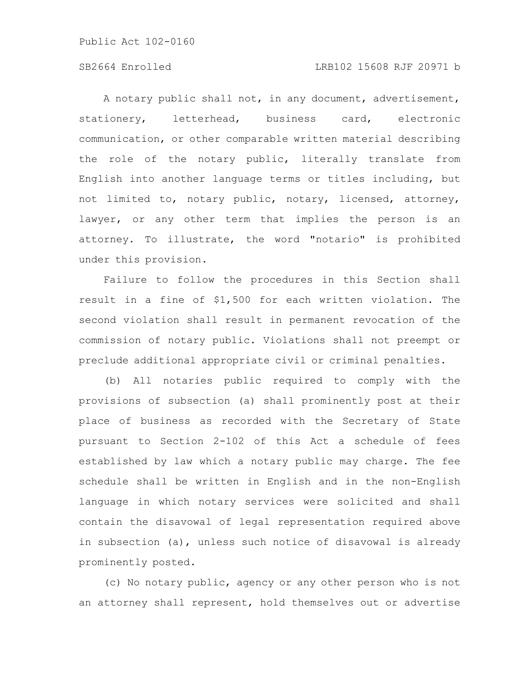# SB2664 Enrolled LRB102 15608 RJF 20971 b

A notary public shall not, in any document, advertisement, stationery, letterhead, business card, electronic communication, or other comparable written material describing the role of the notary public, literally translate from English into another language terms or titles including, but not limited to, notary public, notary, licensed, attorney, lawyer, or any other term that implies the person is an attorney. To illustrate, the word "notario" is prohibited under this provision.

Failure to follow the procedures in this Section shall result in a fine of \$1,500 for each written violation. The second violation shall result in permanent revocation of the commission of notary public. Violations shall not preempt or preclude additional appropriate civil or criminal penalties.

(b) All notaries public required to comply with the provisions of subsection (a) shall prominently post at their place of business as recorded with the Secretary of State pursuant to Section 2-102 of this Act a schedule of fees established by law which a notary public may charge. The fee schedule shall be written in English and in the non-English language in which notary services were solicited and shall contain the disavowal of legal representation required above in subsection (a), unless such notice of disavowal is already prominently posted.

(c) No notary public, agency or any other person who is not an attorney shall represent, hold themselves out or advertise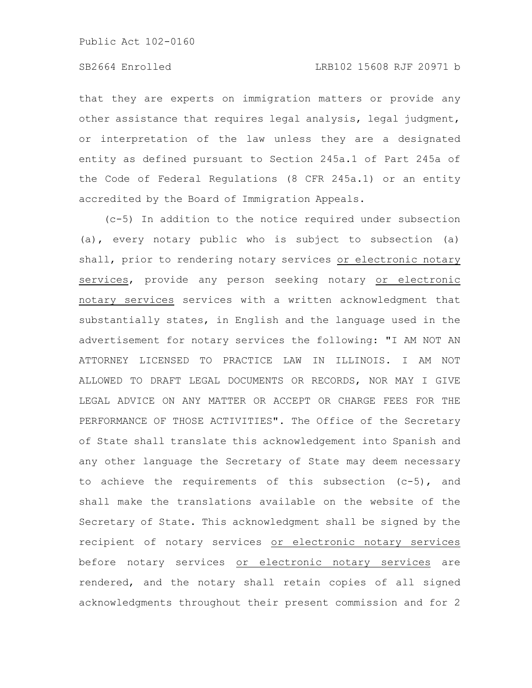that they are experts on immigration matters or provide any other assistance that requires legal analysis, legal judgment, or interpretation of the law unless they are a designated entity as defined pursuant to Section 245a.1 of Part 245a of the Code of Federal Regulations (8 CFR 245a.1) or an entity accredited by the Board of Immigration Appeals.

(c-5) In addition to the notice required under subsection (a), every notary public who is subject to subsection (a) shall, prior to rendering notary services or electronic notary services, provide any person seeking notary or electronic notary services services with a written acknowledgment that substantially states, in English and the language used in the advertisement for notary services the following: "I AM NOT AN ATTORNEY LICENSED TO PRACTICE LAW IN ILLINOIS. I AM NOT ALLOWED TO DRAFT LEGAL DOCUMENTS OR RECORDS, NOR MAY I GIVE LEGAL ADVICE ON ANY MATTER OR ACCEPT OR CHARGE FEES FOR THE PERFORMANCE OF THOSE ACTIVITIES". The Office of the Secretary of State shall translate this acknowledgement into Spanish and any other language the Secretary of State may deem necessary to achieve the requirements of this subsection (c-5), and shall make the translations available on the website of the Secretary of State. This acknowledgment shall be signed by the recipient of notary services or electronic notary services before notary services or electronic notary services are rendered, and the notary shall retain copies of all signed acknowledgments throughout their present commission and for 2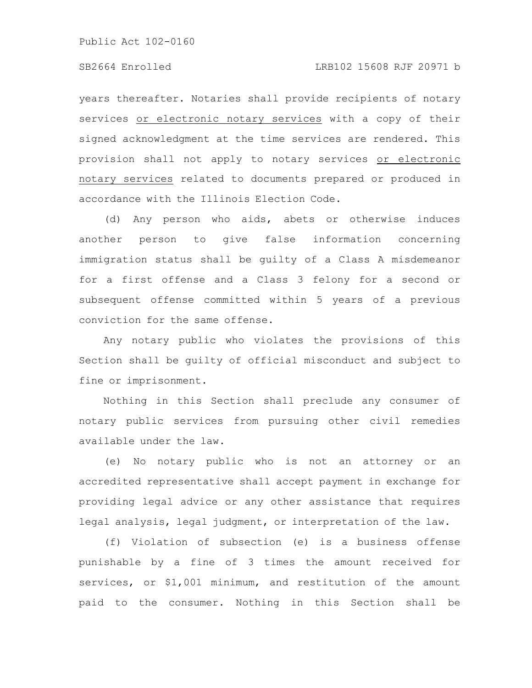### SB2664 Enrolled LRB102 15608 RJF 20971 b

years thereafter. Notaries shall provide recipients of notary services or electronic notary services with a copy of their signed acknowledgment at the time services are rendered. This provision shall not apply to notary services or electronic notary services related to documents prepared or produced in accordance with the Illinois Election Code.

(d) Any person who aids, abets or otherwise induces another person to give false information concerning immigration status shall be guilty of a Class A misdemeanor for a first offense and a Class 3 felony for a second or subsequent offense committed within 5 years of a previous conviction for the same offense.

Any notary public who violates the provisions of this Section shall be guilty of official misconduct and subject to fine or imprisonment.

Nothing in this Section shall preclude any consumer of notary public services from pursuing other civil remedies available under the law.

(e) No notary public who is not an attorney or an accredited representative shall accept payment in exchange for providing legal advice or any other assistance that requires legal analysis, legal judgment, or interpretation of the law.

(f) Violation of subsection (e) is a business offense punishable by a fine of 3 times the amount received for services, or \$1,001 minimum, and restitution of the amount paid to the consumer. Nothing in this Section shall be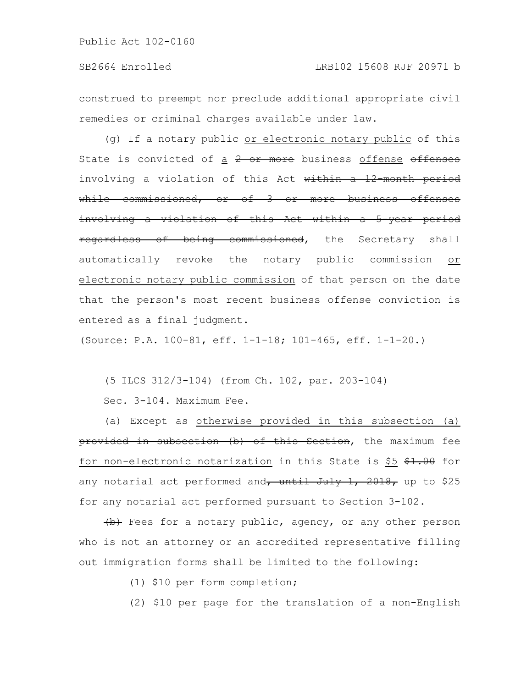construed to preempt nor preclude additional appropriate civil remedies or criminal charges available under law.

(g) If a notary public or electronic notary public of this State is convicted of a  $2$  or more business offense offenses involving a violation of this Act within a 12 month period while commissioned, or of 3 or more business offenses involving a violation of this Act within a 5-year period regardless of being commissioned, the Secretary shall automatically revoke the notary public commission or electronic notary public commission of that person on the date that the person's most recent business offense conviction is entered as a final judgment.

(Source: P.A. 100-81, eff. 1-1-18; 101-465, eff. 1-1-20.)

(5 ILCS 312/3-104) (from Ch. 102, par. 203-104)

Sec. 3-104. Maximum Fee.

(a) Except as otherwise provided in this subsection (a) provided in subsection (b) of this Section, the maximum fee for non-electronic notarization in this State is \$5 \$1.00 for any notarial act performed and $\frac{1}{1}$  until July 1, 2018, up to \$25 for any notarial act performed pursuant to Section 3-102.

(b) Fees for a notary public, agency, or any other person who is not an attorney or an accredited representative filling out immigration forms shall be limited to the following:

(1) \$10 per form completion;

(2) \$10 per page for the translation of a non-English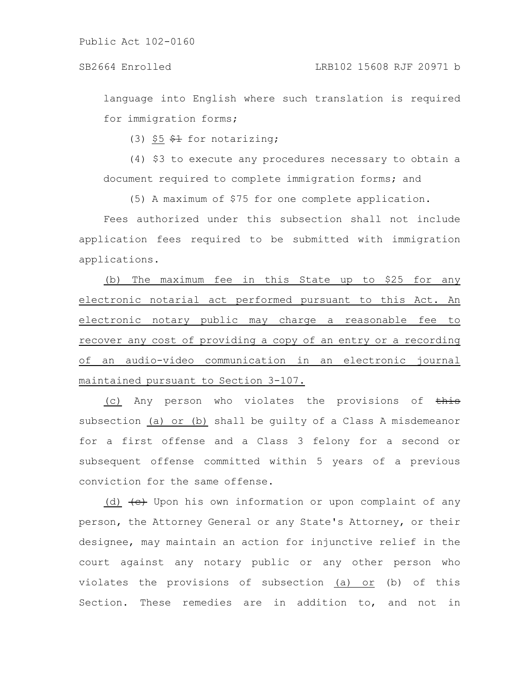language into English where such translation is required for immigration forms;

(3)  $$5$   $$4$  for notarizing;

(4) \$3 to execute any procedures necessary to obtain a document required to complete immigration forms; and

(5) A maximum of \$75 for one complete application.

Fees authorized under this subsection shall not include application fees required to be submitted with immigration applications.

(b) The maximum fee in this State up to \$25 for any electronic notarial act performed pursuant to this Act. An electronic notary public may charge a reasonable fee to recover any cost of providing a copy of an entry or a recording of an audio-video communication in an electronic journal maintained pursuant to Section 3-107.

(c) Any person who violates the provisions of  $\frac{1}{2}$ subsection (a) or (b) shall be guilty of a Class A misdemeanor for a first offense and a Class 3 felony for a second or subsequent offense committed within 5 years of a previous conviction for the same offense.

(d)  $\leftarrow$  Upon his own information or upon complaint of any person, the Attorney General or any State's Attorney, or their designee, may maintain an action for injunctive relief in the court against any notary public or any other person who violates the provisions of subsection (a) or (b) of this Section. These remedies are in addition to, and not in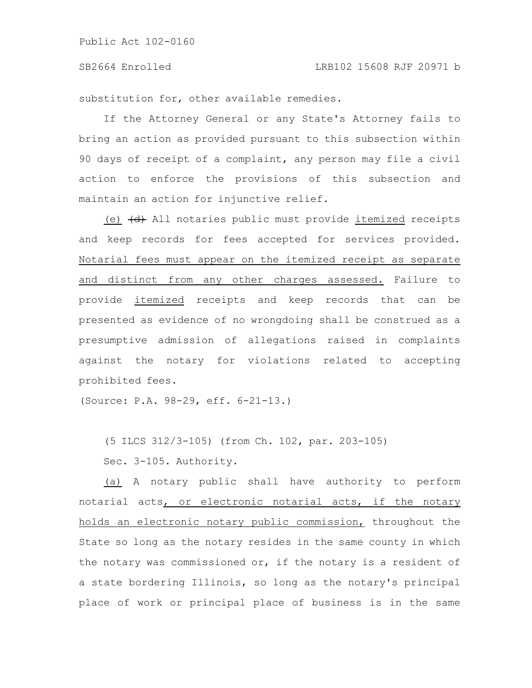substitution for, other available remedies.

If the Attorney General or any State's Attorney fails to bring an action as provided pursuant to this subsection within 90 days of receipt of a complaint, any person may file a civil action to enforce the provisions of this subsection and maintain an action for injunctive relief.

(e)  $\left(\text{d}\right)$  All notaries public must provide itemized receipts and keep records for fees accepted for services provided. Notarial fees must appear on the itemized receipt as separate and distinct from any other charges assessed. Failure to provide itemized receipts and keep records that can be presented as evidence of no wrongdoing shall be construed as a presumptive admission of allegations raised in complaints against the notary for violations related to accepting prohibited fees.

(Source: P.A. 98-29, eff. 6-21-13.)

(5 ILCS 312/3-105) (from Ch. 102, par. 203-105)

Sec. 3-105. Authority.

(a) A notary public shall have authority to perform notarial acts, or electronic notarial acts, if the notary holds an electronic notary public commission, throughout the State so long as the notary resides in the same county in which the notary was commissioned or, if the notary is a resident of a state bordering Illinois, so long as the notary's principal place of work or principal place of business is in the same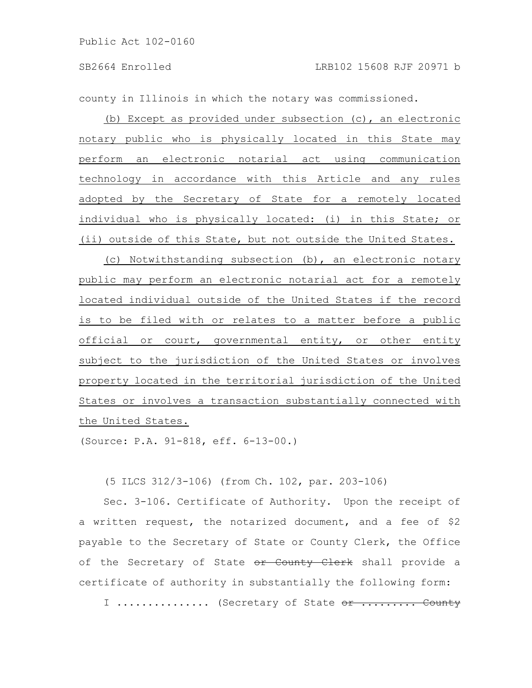county in Illinois in which the notary was commissioned.

(b) Except as provided under subsection (c), an electronic notary public who is physically located in this State may perform an electronic notarial act using communication technology in accordance with this Article and any rules adopted by the Secretary of State for a remotely located individual who is physically located: (i) in this State; or (ii) outside of this State, but not outside the United States.

(c) Notwithstanding subsection (b), an electronic notary public may perform an electronic notarial act for a remotely located individual outside of the United States if the record is to be filed with or relates to a matter before a public official or court, governmental entity, or other entity subject to the jurisdiction of the United States or involves property located in the territorial jurisdiction of the United States or involves a transaction substantially connected with the United States.

(Source: P.A. 91-818, eff. 6-13-00.)

(5 ILCS 312/3-106) (from Ch. 102, par. 203-106)

Sec. 3-106. Certificate of Authority. Upon the receipt of a written request, the notarized document, and a fee of \$2 payable to the Secretary of State or County Clerk, the Office of the Secretary of State or County Clerk shall provide a certificate of authority in substantially the following form:

I ............... (Secretary of State or ......... County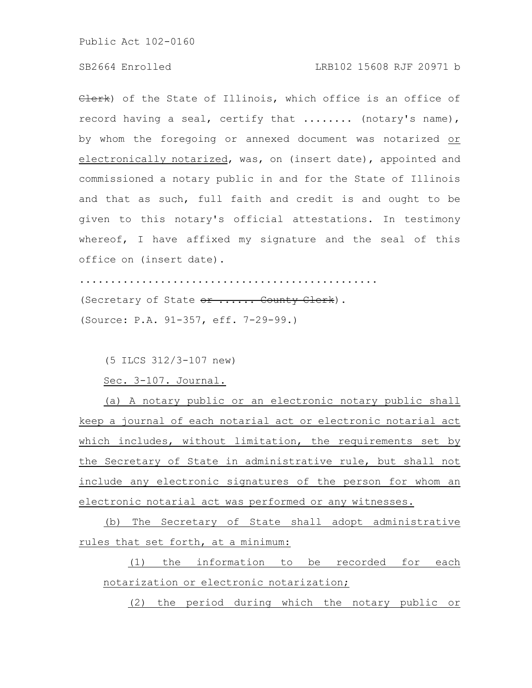Clerk) of the State of Illinois, which office is an office of record having a seal, certify that ........ (notary's name), by whom the foregoing or annexed document was notarized or electronically notarized, was, on (insert date), appointed and commissioned a notary public in and for the State of Illinois and that as such, full faith and credit is and ought to be given to this notary's official attestations. In testimony whereof, I have affixed my signature and the seal of this office on (insert date).

................................................ (Secretary of State or ...... County Clerk). (Source: P.A. 91-357, eff. 7-29-99.)

(5 ILCS 312/3-107 new)

Sec. 3-107. Journal.

(a) A notary public or an electronic notary public shall keep a journal of each notarial act or electronic notarial act which includes, without limitation, the requirements set by the Secretary of State in administrative rule, but shall not include any electronic signatures of the person for whom an electronic notarial act was performed or any witnesses.

(b) The Secretary of State shall adopt administrative rules that set forth, at a minimum:

(1) the information to be recorded for each notarization or electronic notarization;

(2) the period during which the notary public or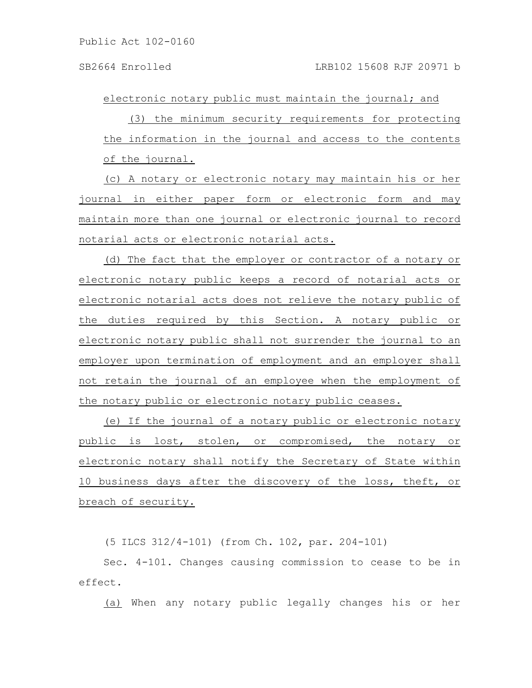electronic notary public must maintain the journal; and

(3) the minimum security requirements for protecting the information in the journal and access to the contents of the journal.

(c) A notary or electronic notary may maintain his or her journal in either paper form or electronic form and may maintain more than one journal or electronic journal to record notarial acts or electronic notarial acts.

(d) The fact that the employer or contractor of a notary or electronic notary public keeps a record of notarial acts or electronic notarial acts does not relieve the notary public of the duties required by this Section. A notary public or electronic notary public shall not surrender the journal to an employer upon termination of employment and an employer shall not retain the journal of an employee when the employment of the notary public or electronic notary public ceases.

(e) If the journal of a notary public or electronic notary public is lost, stolen, or compromised, the notary or electronic notary shall notify the Secretary of State within 10 business days after the discovery of the loss, theft, or breach of security.

(5 ILCS 312/4-101) (from Ch. 102, par. 204-101)

Sec. 4-101. Changes causing commission to cease to be in effect.

(a) When any notary public legally changes his or her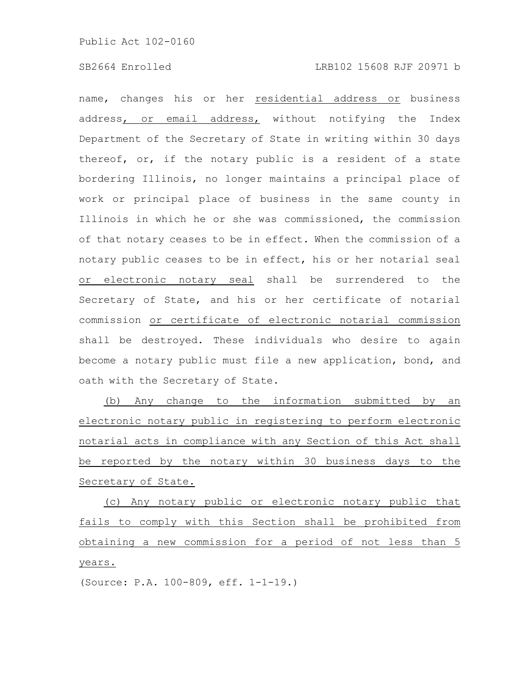name, changes his or her residential address or business address, or email address, without notifying the Index Department of the Secretary of State in writing within 30 days thereof, or, if the notary public is a resident of a state bordering Illinois, no longer maintains a principal place of work or principal place of business in the same county in Illinois in which he or she was commissioned, the commission of that notary ceases to be in effect. When the commission of a notary public ceases to be in effect, his or her notarial seal or electronic notary seal shall be surrendered to the Secretary of State, and his or her certificate of notarial commission or certificate of electronic notarial commission shall be destroyed. These individuals who desire to again become a notary public must file a new application, bond, and oath with the Secretary of State.

(b) Any change to the information submitted by an electronic notary public in registering to perform electronic notarial acts in compliance with any Section of this Act shall be reported by the notary within 30 business days to the Secretary of State.

(c) Any notary public or electronic notary public that fails to comply with this Section shall be prohibited from obtaining a new commission for a period of not less than 5 years.

(Source: P.A. 100-809, eff. 1-1-19.)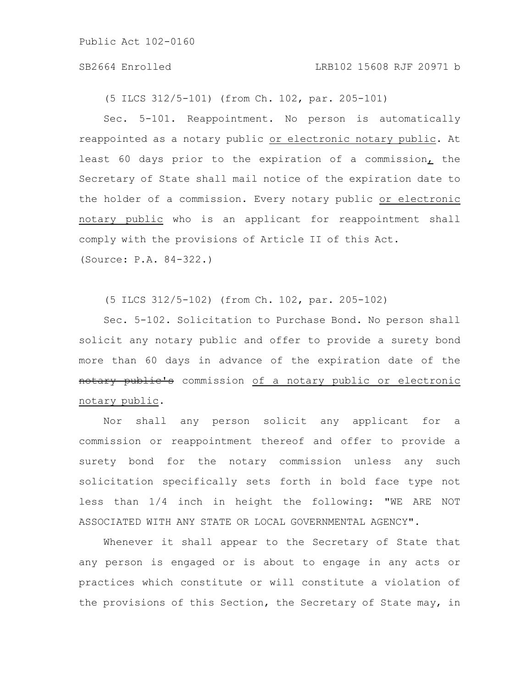#### SB2664 Enrolled LRB102 15608 RJF 20971 b

(5 ILCS 312/5-101) (from Ch. 102, par. 205-101)

Sec. 5-101. Reappointment. No person is automatically reappointed as a notary public or electronic notary public. At least 60 days prior to the expiration of a commission, the Secretary of State shall mail notice of the expiration date to the holder of a commission. Every notary public or electronic notary public who is an applicant for reappointment shall comply with the provisions of Article II of this Act. (Source: P.A. 84-322.)

(5 ILCS 312/5-102) (from Ch. 102, par. 205-102)

Sec. 5-102. Solicitation to Purchase Bond. No person shall solicit any notary public and offer to provide a surety bond more than 60 days in advance of the expiration date of the notary public's commission of a notary public or electronic notary public.

Nor shall any person solicit any applicant for a commission or reappointment thereof and offer to provide a surety bond for the notary commission unless any such solicitation specifically sets forth in bold face type not less than 1/4 inch in height the following: "WE ARE NOT ASSOCIATED WITH ANY STATE OR LOCAL GOVERNMENTAL AGENCY".

Whenever it shall appear to the Secretary of State that any person is engaged or is about to engage in any acts or practices which constitute or will constitute a violation of the provisions of this Section, the Secretary of State may, in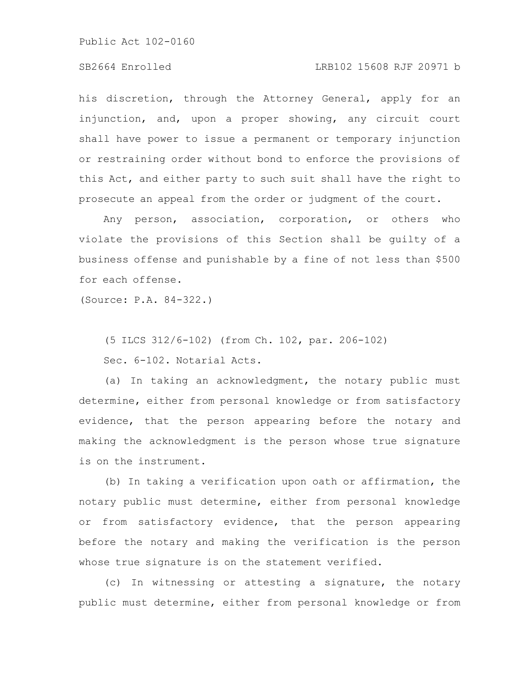# SB2664 Enrolled LRB102 15608 RJF 20971 b

his discretion, through the Attorney General, apply for an injunction, and, upon a proper showing, any circuit court shall have power to issue a permanent or temporary injunction or restraining order without bond to enforce the provisions of this Act, and either party to such suit shall have the right to prosecute an appeal from the order or judgment of the court.

Any person, association, corporation, or others who violate the provisions of this Section shall be guilty of a business offense and punishable by a fine of not less than \$500 for each offense.

(Source: P.A. 84-322.)

(5 ILCS 312/6-102) (from Ch. 102, par. 206-102)

Sec. 6-102. Notarial Acts.

(a) In taking an acknowledgment, the notary public must determine, either from personal knowledge or from satisfactory evidence, that the person appearing before the notary and making the acknowledgment is the person whose true signature is on the instrument.

(b) In taking a verification upon oath or affirmation, the notary public must determine, either from personal knowledge or from satisfactory evidence, that the person appearing before the notary and making the verification is the person whose true signature is on the statement verified.

(c) In witnessing or attesting a signature, the notary public must determine, either from personal knowledge or from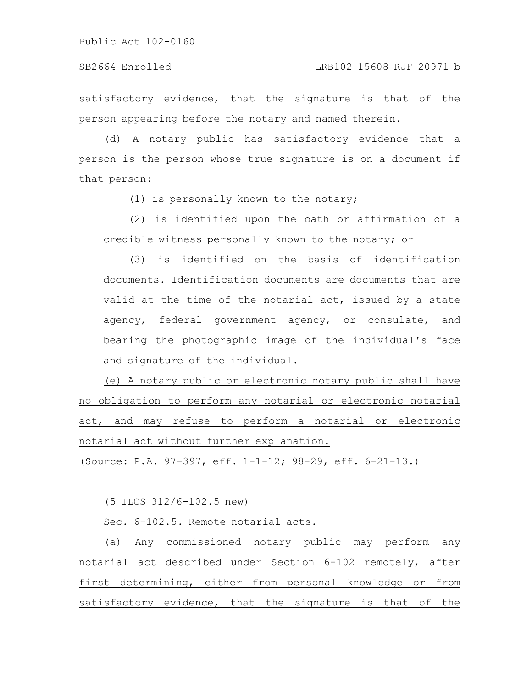SB2664 Enrolled LRB102 15608 RJF 20971 b

satisfactory evidence, that the signature is that of the person appearing before the notary and named therein.

(d) A notary public has satisfactory evidence that a person is the person whose true signature is on a document if that person:

(1) is personally known to the notary;

(2) is identified upon the oath or affirmation of a credible witness personally known to the notary; or

(3) is identified on the basis of identification documents. Identification documents are documents that are valid at the time of the notarial act, issued by a state agency, federal government agency, or consulate, and bearing the photographic image of the individual's face and signature of the individual.

(e) A notary public or electronic notary public shall have no obligation to perform any notarial or electronic notarial act, and may refuse to perform a notarial or electronic notarial act without further explanation.

(Source: P.A. 97-397, eff. 1-1-12; 98-29, eff. 6-21-13.)

(5 ILCS 312/6-102.5 new)

Sec. 6-102.5. Remote notarial acts.

(a) Any commissioned notary public may perform any notarial act described under Section 6-102 remotely, after first determining, either from personal knowledge or from satisfactory evidence, that the signature is that of the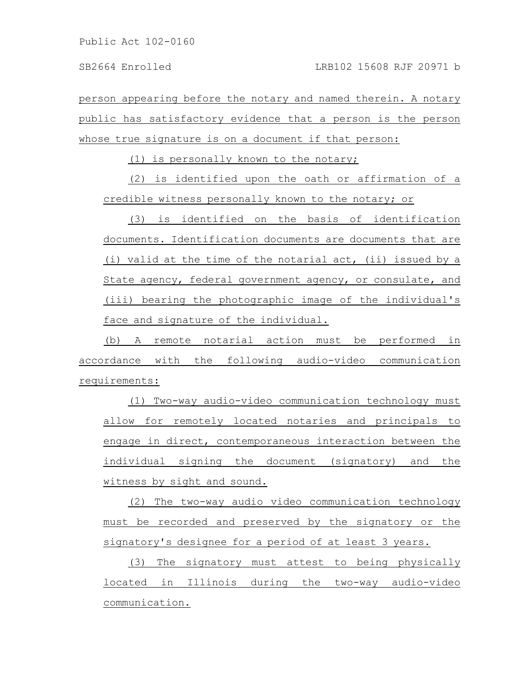person appearing before the notary and named therein. A notary public has satisfactory evidence that a person is the person whose true signature is on a document if that person:

(1) is personally known to the notary;

(2) is identified upon the oath or affirmation of a credible witness personally known to the notary; or

(3) is identified on the basis of identification documents. Identification documents are documents that are (i) valid at the time of the notarial act, (ii) issued by a State agency, federal government agency, or consulate, and (iii) bearing the photographic image of the individual's face and signature of the individual.

(b) A remote notarial action must be performed in accordance with the following audio-video communication requirements:

(1) Two-way audio-video communication technology must allow for remotely located notaries and principals to engage in direct, contemporaneous interaction between the individual signing the document (signatory) and the witness by sight and sound.

(2) The two-way audio video communication technology must be recorded and preserved by the signatory or the signatory's designee for a period of at least 3 years.

(3) The signatory must attest to being physically located in Illinois during the two-way audio-video communication.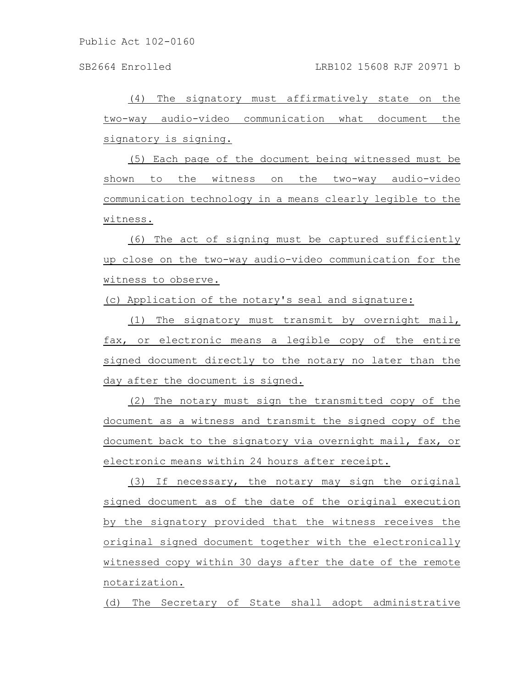(4) The signatory must affirmatively state on the two-way audio-video communication what document the signatory is signing.

(5) Each page of the document being witnessed must be shown to the witness on the two-way audio-video communication technology in a means clearly legible to the witness.

(6) The act of signing must be captured sufficiently up close on the two-way audio-video communication for the witness to observe.

(c) Application of the notary's seal and signature:

(1) The signatory must transmit by overnight mail, fax, or electronic means a legible copy of the entire signed document directly to the notary no later than the day after the document is signed.

(2) The notary must sign the transmitted copy of the document as a witness and transmit the signed copy of the document back to the signatory via overnight mail, fax, or electronic means within 24 hours after receipt.

(3) If necessary, the notary may sign the original signed document as of the date of the original execution by the signatory provided that the witness receives the original signed document together with the electronically witnessed copy within 30 days after the date of the remote notarization.

(d) The Secretary of State shall adopt administrative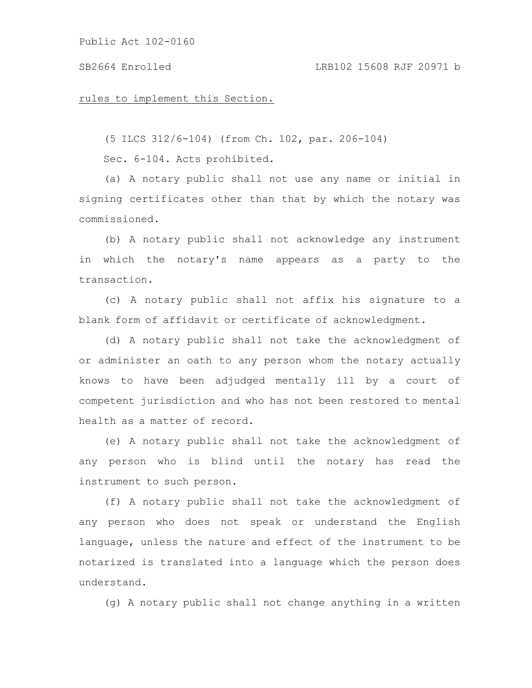#### SB2664 Enrolled LRB102 15608 RJF 20971 b

#### rules to implement this Section.

(5 ILCS 312/6-104) (from Ch. 102, par. 206-104)

Sec. 6-104. Acts prohibited.

(a) A notary public shall not use any name or initial in signing certificates other than that by which the notary was commissioned.

(b) A notary public shall not acknowledge any instrument in which the notary's name appears as a party to the transaction.

(c) A notary public shall not affix his signature to a blank form of affidavit or certificate of acknowledgment.

(d) A notary public shall not take the acknowledgment of or administer an oath to any person whom the notary actually knows to have been adjudged mentally ill by a court of competent jurisdiction and who has not been restored to mental health as a matter of record.

(e) A notary public shall not take the acknowledgment of any person who is blind until the notary has read the instrument to such person.

(f) A notary public shall not take the acknowledgment of any person who does not speak or understand the English language, unless the nature and effect of the instrument to be notarized is translated into a language which the person does understand.

(g) A notary public shall not change anything in a written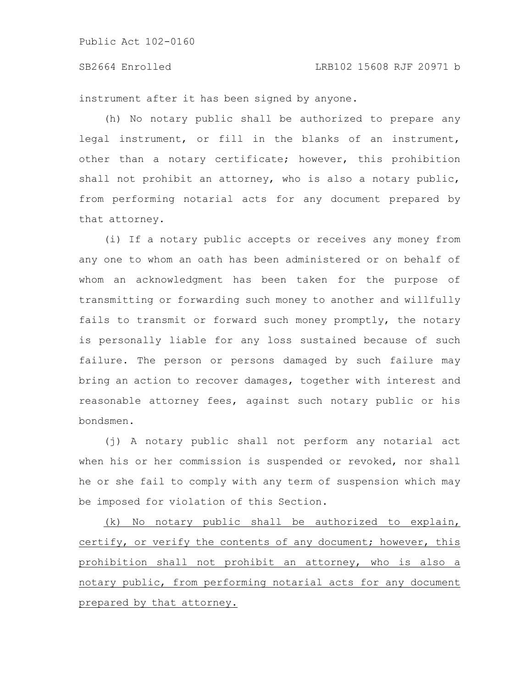# SB2664 Enrolled LRB102 15608 RJF 20971 b

instrument after it has been signed by anyone.

(h) No notary public shall be authorized to prepare any legal instrument, or fill in the blanks of an instrument, other than a notary certificate; however, this prohibition shall not prohibit an attorney, who is also a notary public, from performing notarial acts for any document prepared by that attorney.

(i) If a notary public accepts or receives any money from any one to whom an oath has been administered or on behalf of whom an acknowledgment has been taken for the purpose of transmitting or forwarding such money to another and willfully fails to transmit or forward such money promptly, the notary is personally liable for any loss sustained because of such failure. The person or persons damaged by such failure may bring an action to recover damages, together with interest and reasonable attorney fees, against such notary public or his bondsmen.

(j) A notary public shall not perform any notarial act when his or her commission is suspended or revoked, nor shall he or she fail to comply with any term of suspension which may be imposed for violation of this Section.

(k) No notary public shall be authorized to explain, certify, or verify the contents of any document; however, this prohibition shall not prohibit an attorney, who is also a notary public, from performing notarial acts for any document prepared by that attorney.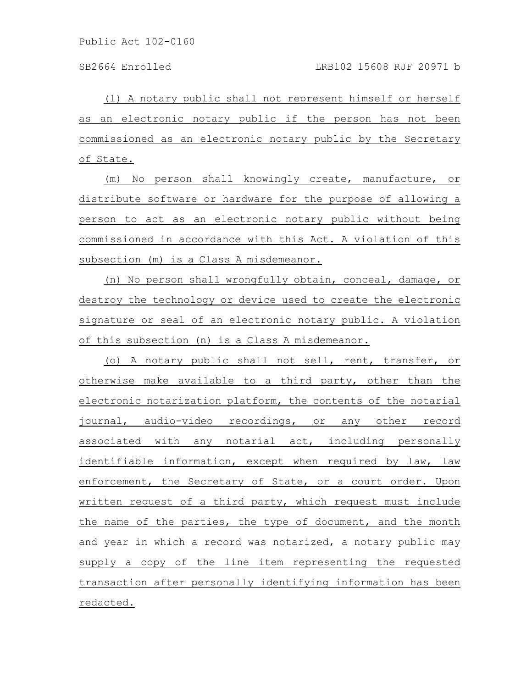(l) A notary public shall not represent himself or herself as an electronic notary public if the person has not been commissioned as an electronic notary public by the Secretary of State.

(m) No person shall knowingly create, manufacture, or distribute software or hardware for the purpose of allowing a person to act as an electronic notary public without being commissioned in accordance with this Act. A violation of this subsection (m) is a Class A misdemeanor.

(n) No person shall wrongfully obtain, conceal, damage, or destroy the technology or device used to create the electronic signature or seal of an electronic notary public. A violation of this subsection (n) is a Class A misdemeanor.

(o) A notary public shall not sell, rent, transfer, or otherwise make available to a third party, other than the electronic notarization platform, the contents of the notarial journal, audio-video recordings, or any other record associated with any notarial act, including personally identifiable information, except when required by law, law enforcement, the Secretary of State, or a court order. Upon written request of a third party, which request must include the name of the parties, the type of document, and the month and year in which a record was notarized, a notary public may supply a copy of the line item representing the requested transaction after personally identifying information has been redacted.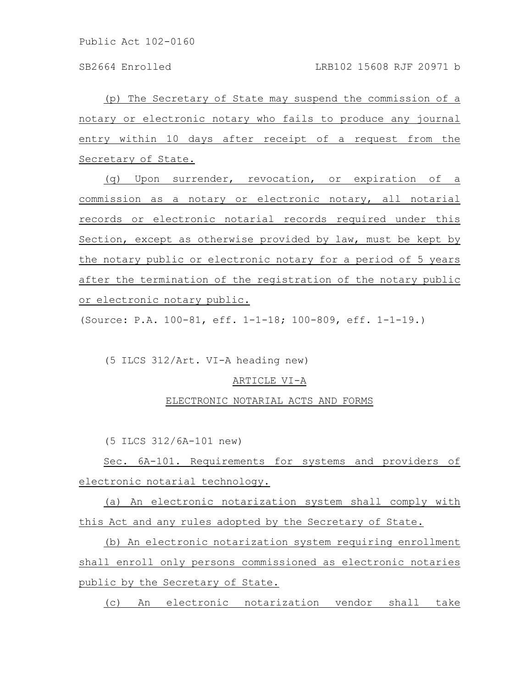(p) The Secretary of State may suspend the commission of a notary or electronic notary who fails to produce any journal entry within 10 days after receipt of a request from the Secretary of State.

(q) Upon surrender, revocation, or expiration of a commission as a notary or electronic notary, all notarial records or electronic notarial records required under this Section, except as otherwise provided by law, must be kept by the notary public or electronic notary for a period of 5 years after the termination of the registration of the notary public or electronic notary public.

(Source: P.A. 100-81, eff. 1-1-18; 100-809, eff. 1-1-19.)

(5 ILCS 312/Art. VI-A heading new)

#### ARTICLE VI-A

#### ELECTRONIC NOTARIAL ACTS AND FORMS

(5 ILCS 312/6A-101 new)

Sec. 6A-101. Requirements for systems and providers of electronic notarial technology.

(a) An electronic notarization system shall comply with this Act and any rules adopted by the Secretary of State.

(b) An electronic notarization system requiring enrollment shall enroll only persons commissioned as electronic notaries public by the Secretary of State.

(c) An electronic notarization vendor shall take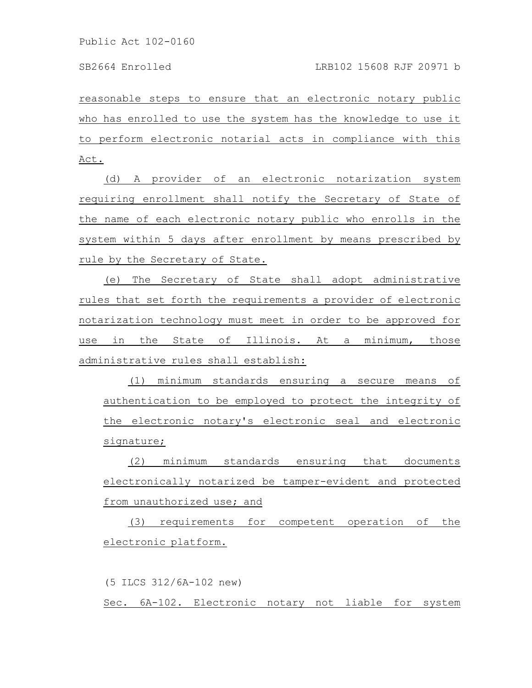reasonable steps to ensure that an electronic notary public who has enrolled to use the system has the knowledge to use it to perform electronic notarial acts in compliance with this Act.

(d) A provider of an electronic notarization system requiring enrollment shall notify the Secretary of State of the name of each electronic notary public who enrolls in the system within 5 days after enrollment by means prescribed by rule by the Secretary of State.

(e) The Secretary of State shall adopt administrative rules that set forth the requirements a provider of electronic notarization technology must meet in order to be approved for use in the State of Illinois. At a minimum, those administrative rules shall establish:

(1) minimum standards ensuring a secure means of authentication to be employed to protect the integrity of the electronic notary's electronic seal and electronic signature;

(2) minimum standards ensuring that documents electronically notarized be tamper-evident and protected from unauthorized use; and

(3) requirements for competent operation of the electronic platform.

(5 ILCS 312/6A-102 new) Sec. 6A-102. Electronic notary not liable for system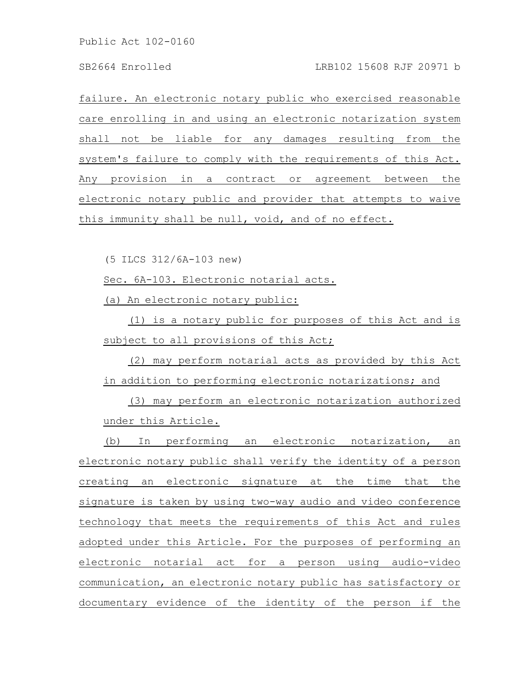### SB2664 Enrolled LRB102 15608 RJF 20971 b

failure. An electronic notary public who exercised reasonable care enrolling in and using an electronic notarization system shall not be liable for any damages resulting from the system's failure to comply with the requirements of this Act. Any provision in a contract or agreement between the electronic notary public and provider that attempts to waive this immunity shall be null, void, and of no effect.

(5 ILCS 312/6A-103 new)

Sec. 6A-103. Electronic notarial acts.

(a) An electronic notary public:

(1) is a notary public for purposes of this Act and is subject to all provisions of this Act;

(2) may perform notarial acts as provided by this Act in addition to performing electronic notarizations; and

(3) may perform an electronic notarization authorized under this Article.

(b) In performing an electronic notarization, an electronic notary public shall verify the identity of a person creating an electronic signature at the time that the signature is taken by using two-way audio and video conference technology that meets the requirements of this Act and rules adopted under this Article. For the purposes of performing an electronic notarial act for a person using audio-video communication, an electronic notary public has satisfactory or documentary evidence of the identity of the person if the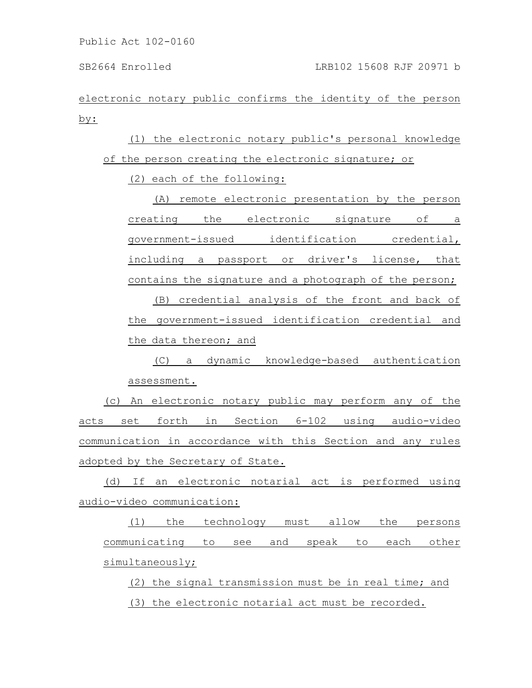electronic notary public confirms the identity of the person by:

(1) the electronic notary public's personal knowledge of the person creating the electronic signature; or

(2) each of the following:

(A) remote electronic presentation by the person creating the electronic signature of a government-issued identification credential, including a passport or driver's license, that contains the signature and a photograph of the person;

(B) credential analysis of the front and back of the government-issued identification credential and the data thereon; and

(C) a dynamic knowledge-based authentication assessment.

(c) An electronic notary public may perform any of the acts set forth in Section 6-102 using audio-video communication in accordance with this Section and any rules adopted by the Secretary of State.

(d) If an electronic notarial act is performed using audio-video communication:

(1) the technology must allow the persons communicating to see and speak to each other simultaneously;

(2) the signal transmission must be in real time; and (3) the electronic notarial act must be recorded.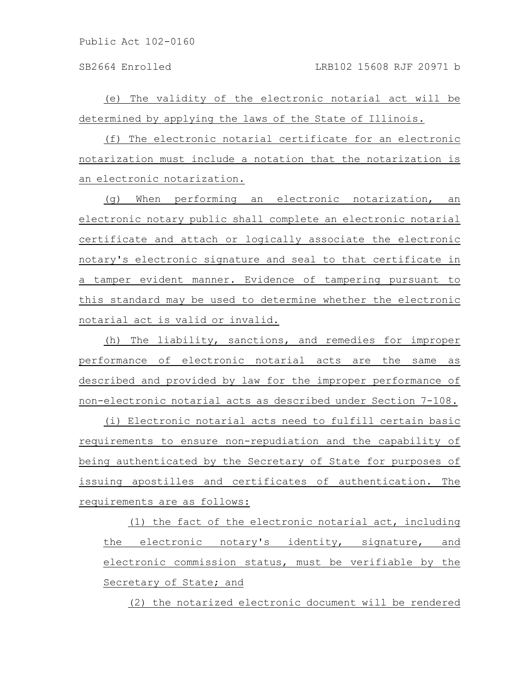SB2664 Enrolled LRB102 15608 RJF 20971 b

(e) The validity of the electronic notarial act will be determined by applying the laws of the State of Illinois.

(f) The electronic notarial certificate for an electronic notarization must include a notation that the notarization is an electronic notarization.

(g) When performing an electronic notarization, an electronic notary public shall complete an electronic notarial certificate and attach or logically associate the electronic notary's electronic signature and seal to that certificate in a tamper evident manner. Evidence of tampering pursuant to this standard may be used to determine whether the electronic notarial act is valid or invalid.

(h) The liability, sanctions, and remedies for improper performance of electronic notarial acts are the same as described and provided by law for the improper performance of non-electronic notarial acts as described under Section 7-108.

(i) Electronic notarial acts need to fulfill certain basic requirements to ensure non-repudiation and the capability of being authenticated by the Secretary of State for purposes of issuing apostilles and certificates of authentication. The requirements are as follows:

(1) the fact of the electronic notarial act, including the electronic notary's identity, signature, and electronic commission status, must be verifiable by the Secretary of State; and

(2) the notarized electronic document will be rendered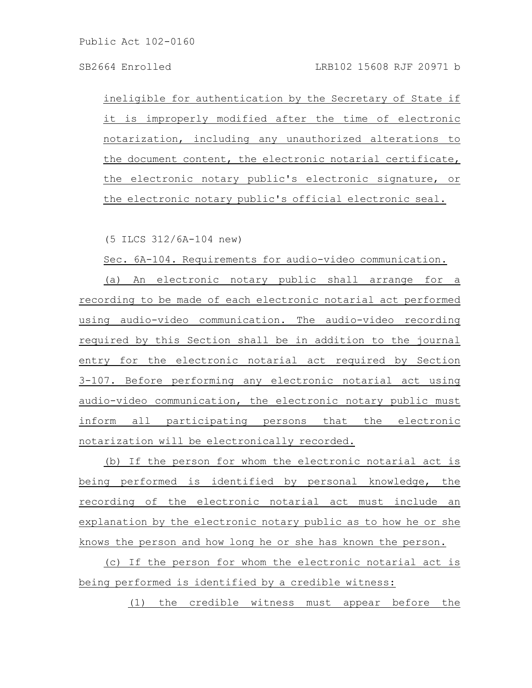ineligible for authentication by the Secretary of State if it is improperly modified after the time of electronic notarization, including any unauthorized alterations to the document content, the electronic notarial certificate, the electronic notary public's electronic signature, or the electronic notary public's official electronic seal.

(5 ILCS 312/6A-104 new)

Sec. 6A-104. Requirements for audio-video communication.

(a) An electronic notary public shall arrange for a recording to be made of each electronic notarial act performed using audio-video communication. The audio-video recording required by this Section shall be in addition to the journal entry for the electronic notarial act required by Section 3-107. Before performing any electronic notarial act using audio-video communication, the electronic notary public must inform all participating persons that the electronic notarization will be electronically recorded.

(b) If the person for whom the electronic notarial act is being performed is identified by personal knowledge, the recording of the electronic notarial act must include an explanation by the electronic notary public as to how he or she knows the person and how long he or she has known the person.

(c) If the person for whom the electronic notarial act is being performed is identified by a credible witness:

(1) the credible witness must appear before the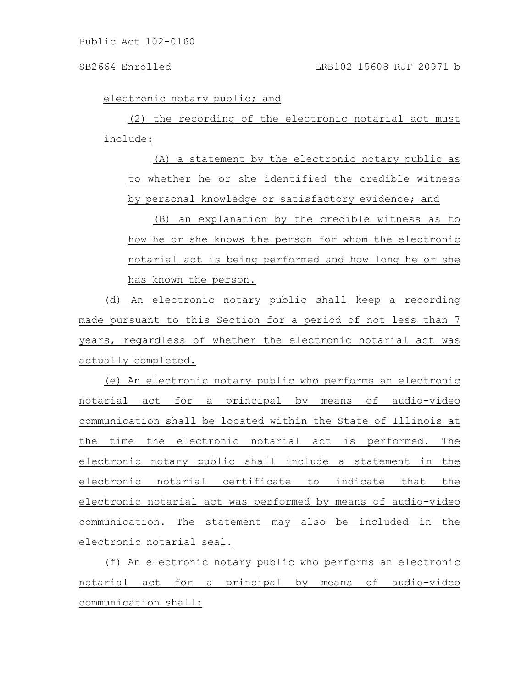electronic notary public; and

(2) the recording of the electronic notarial act must include:

(A) a statement by the electronic notary public as to whether he or she identified the credible witness by personal knowledge or satisfactory evidence; and

(B) an explanation by the credible witness as to how he or she knows the person for whom the electronic notarial act is being performed and how long he or she has known the person.

(d) An electronic notary public shall keep a recording made pursuant to this Section for a period of not less than 7 years, regardless of whether the electronic notarial act was actually completed.

(e) An electronic notary public who performs an electronic notarial act for a principal by means of audio-video communication shall be located within the State of Illinois at the time the electronic notarial act is performed. The electronic notary public shall include a statement in the electronic notarial certificate to indicate that the electronic notarial act was performed by means of audio-video communication. The statement may also be included in the electronic notarial seal.

(f) An electronic notary public who performs an electronic notarial act for a principal by means of audio-video communication shall: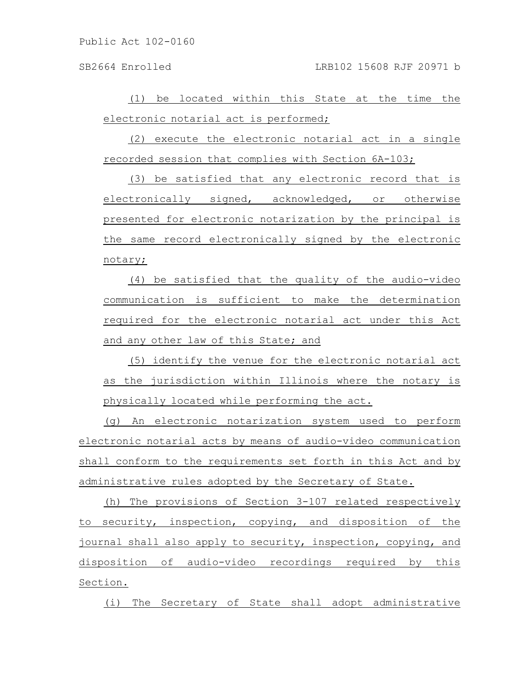SB2664 Enrolled LRB102 15608 RJF 20971 b

(1) be located within this State at the time the electronic notarial act is performed;

(2) execute the electronic notarial act in a single recorded session that complies with Section 6A-103;

(3) be satisfied that any electronic record that is electronically signed, acknowledged, or otherwise presented for electronic notarization by the principal is the same record electronically signed by the electronic notary;

(4) be satisfied that the quality of the audio-video communication is sufficient to make the determination required for the electronic notarial act under this Act and any other law of this State; and

(5) identify the venue for the electronic notarial act as the jurisdiction within Illinois where the notary is physically located while performing the act.

(g) An electronic notarization system used to perform electronic notarial acts by means of audio-video communication shall conform to the requirements set forth in this Act and by administrative rules adopted by the Secretary of State.

(h) The provisions of Section 3-107 related respectively to security, inspection, copying, and disposition of the journal shall also apply to security, inspection, copying, and disposition of audio-video recordings required by this Section.

(i) The Secretary of State shall adopt administrative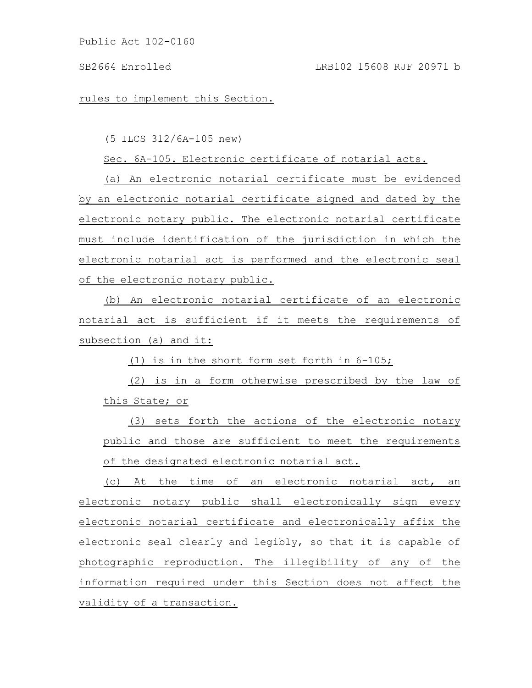# SB2664 Enrolled LRB102 15608 RJF 20971 b

rules to implement this Section.

(5 ILCS 312/6A-105 new)

Sec. 6A-105. Electronic certificate of notarial acts.

(a) An electronic notarial certificate must be evidenced by an electronic notarial certificate signed and dated by the electronic notary public. The electronic notarial certificate must include identification of the jurisdiction in which the electronic notarial act is performed and the electronic seal of the electronic notary public.

(b) An electronic notarial certificate of an electronic notarial act is sufficient if it meets the requirements of subsection (a) and it:

(1) is in the short form set forth in 6-105;

(2) is in a form otherwise prescribed by the law of this State; or

(3) sets forth the actions of the electronic notary public and those are sufficient to meet the requirements of the designated electronic notarial act.

(c) At the time of an electronic notarial act, an electronic notary public shall electronically sign every electronic notarial certificate and electronically affix the electronic seal clearly and legibly, so that it is capable of photographic reproduction. The illegibility of any of the information required under this Section does not affect the validity of a transaction.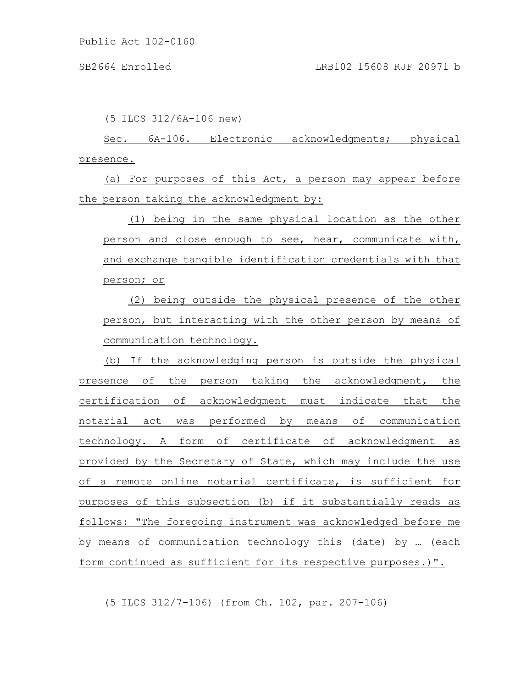(5 ILCS 312/6A-106 new)

Sec. 6A-106. Electronic acknowledgments; physical presence.

(a) For purposes of this Act, a person may appear before the person taking the acknowledgment by:

(1) being in the same physical location as the other person and close enough to see, hear, communicate with, and exchange tangible identification credentials with that person; or

(2) being outside the physical presence of the other person, but interacting with the other person by means of communication technology.

(b) If the acknowledging person is outside the physical presence of the person taking the acknowledgment, the certification of acknowledgment must indicate that the notarial act was performed by means of communication technology. A form of certificate of acknowledgment as provided by the Secretary of State, which may include the use of a remote online notarial certificate, is sufficient for purposes of this subsection (b) if it substantially reads as follows: "The foregoing instrument was acknowledged before me by means of communication technology this (date) by … (each form continued as sufficient for its respective purposes.)".

(5 ILCS 312/7-106) (from Ch. 102, par. 207-106)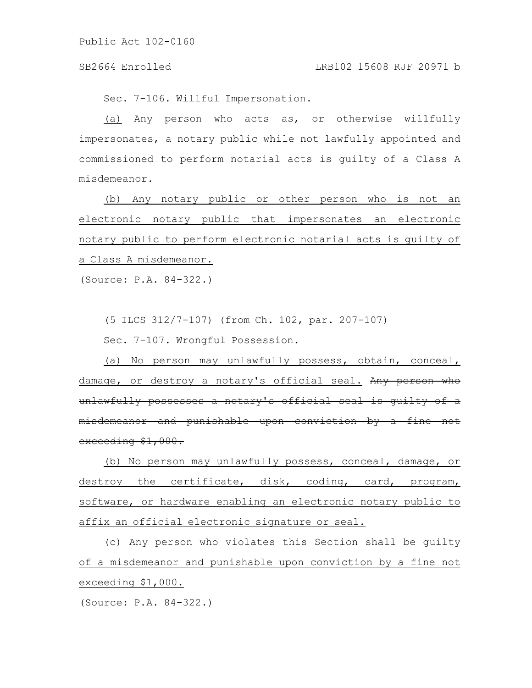### SB2664 Enrolled LRB102 15608 RJF 20971 b

Sec. 7-106. Willful Impersonation.

(a) Any person who acts as, or otherwise willfully impersonates, a notary public while not lawfully appointed and commissioned to perform notarial acts is guilty of a Class A misdemeanor.

(b) Any notary public or other person who is not an electronic notary public that impersonates an electronic notary public to perform electronic notarial acts is guilty of a Class A misdemeanor.

(Source: P.A. 84-322.)

(5 ILCS 312/7-107) (from Ch. 102, par. 207-107)

Sec. 7-107. Wrongful Possession.

(a) No person may unlawfully possess, obtain, conceal, damage, or destroy a notary's official seal. Any person who unlawfully possesses a notary's official seal is guilty of a misdemeanor and punishable upon conviction by a fine not exceeding \$1,000.

(b) No person may unlawfully possess, conceal, damage, or destroy the certificate, disk, coding, card, program, software, or hardware enabling an electronic notary public to affix an official electronic signature or seal.

(c) Any person who violates this Section shall be guilty of a misdemeanor and punishable upon conviction by a fine not exceeding \$1,000.

(Source: P.A. 84-322.)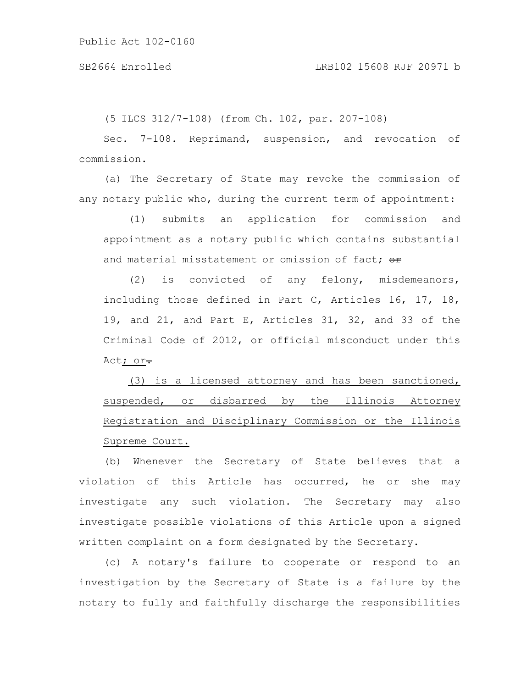(5 ILCS 312/7-108) (from Ch. 102, par. 207-108)

Sec. 7-108. Reprimand, suspension, and revocation of commission.

(a) The Secretary of State may revoke the commission of any notary public who, during the current term of appointment:

(1) submits an application for commission and appointment as a notary public which contains substantial and material misstatement or omission of fact:  $\theta$ r

(2) is convicted of any felony, misdemeanors, including those defined in Part C, Articles 16, 17, 18, 19, and 21, and Part E, Articles 31, 32, and 33 of the Criminal Code of 2012, or official misconduct under this Act; or-

(3) is a licensed attorney and has been sanctioned, suspended, or disbarred by the Illinois Attorney Registration and Disciplinary Commission or the Illinois Supreme Court.

(b) Whenever the Secretary of State believes that a violation of this Article has occurred, he or she may investigate any such violation. The Secretary may also investigate possible violations of this Article upon a signed written complaint on a form designated by the Secretary.

(c) A notary's failure to cooperate or respond to an investigation by the Secretary of State is a failure by the notary to fully and faithfully discharge the responsibilities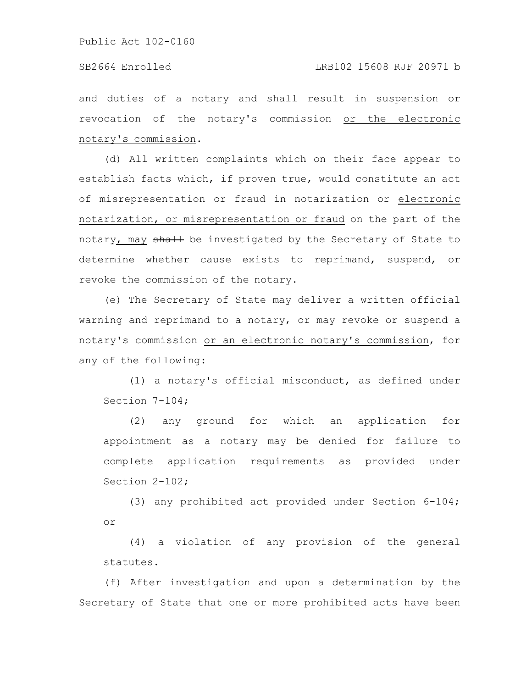#### SB2664 Enrolled LRB102 15608 RJF 20971 b

and duties of a notary and shall result in suspension or revocation of the notary's commission or the electronic notary's commission.

(d) All written complaints which on their face appear to establish facts which, if proven true, would constitute an act of misrepresentation or fraud in notarization or electronic notarization, or misrepresentation or fraud on the part of the notary, may shall be investigated by the Secretary of State to determine whether cause exists to reprimand, suspend, or revoke the commission of the notary.

(e) The Secretary of State may deliver a written official warning and reprimand to a notary, or may revoke or suspend a notary's commission or an electronic notary's commission, for any of the following:

(1) a notary's official misconduct, as defined under Section 7-104;

(2) any ground for which an application for appointment as a notary may be denied for failure to complete application requirements as provided under Section 2-102;

(3) any prohibited act provided under Section 6-104; or

(4) a violation of any provision of the general statutes.

(f) After investigation and upon a determination by the Secretary of State that one or more prohibited acts have been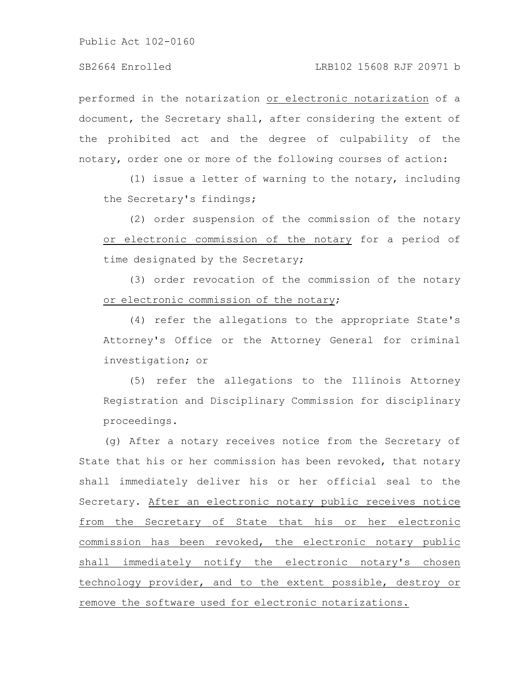performed in the notarization or electronic notarization of a document, the Secretary shall, after considering the extent of the prohibited act and the degree of culpability of the notary, order one or more of the following courses of action:

(1) issue a letter of warning to the notary, including the Secretary's findings;

(2) order suspension of the commission of the notary or electronic commission of the notary for a period of time designated by the Secretary;

(3) order revocation of the commission of the notary or electronic commission of the notary;

(4) refer the allegations to the appropriate State's Attorney's Office or the Attorney General for criminal investigation; or

(5) refer the allegations to the Illinois Attorney Registration and Disciplinary Commission for disciplinary proceedings.

(g) After a notary receives notice from the Secretary of State that his or her commission has been revoked, that notary shall immediately deliver his or her official seal to the Secretary. After an electronic notary public receives notice from the Secretary of State that his or her electronic commission has been revoked, the electronic notary public shall immediately notify the electronic notary's chosen technology provider, and to the extent possible, destroy or remove the software used for electronic notarizations.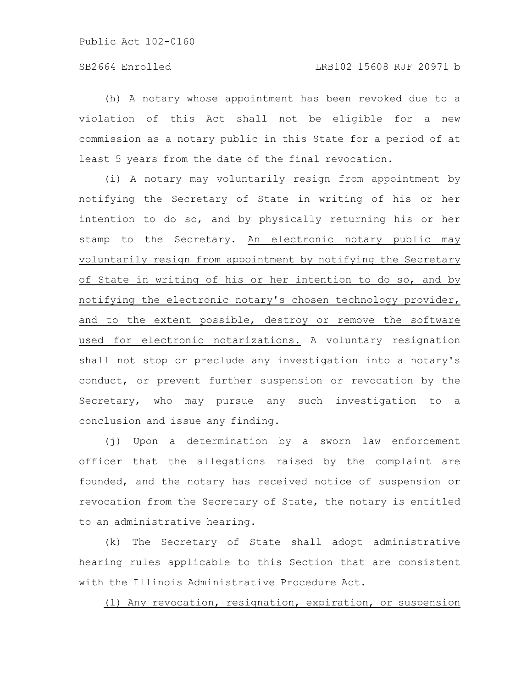(h) A notary whose appointment has been revoked due to a violation of this Act shall not be eligible for a new commission as a notary public in this State for a period of at least 5 years from the date of the final revocation.

(i) A notary may voluntarily resign from appointment by notifying the Secretary of State in writing of his or her intention to do so, and by physically returning his or her stamp to the Secretary. An electronic notary public may voluntarily resign from appointment by notifying the Secretary of State in writing of his or her intention to do so, and by notifying the electronic notary's chosen technology provider, and to the extent possible, destroy or remove the software used for electronic notarizations. A voluntary resignation shall not stop or preclude any investigation into a notary's conduct, or prevent further suspension or revocation by the Secretary, who may pursue any such investigation to a conclusion and issue any finding.

(j) Upon a determination by a sworn law enforcement officer that the allegations raised by the complaint are founded, and the notary has received notice of suspension or revocation from the Secretary of State, the notary is entitled to an administrative hearing.

(k) The Secretary of State shall adopt administrative hearing rules applicable to this Section that are consistent with the Illinois Administrative Procedure Act.

(l) Any revocation, resignation, expiration, or suspension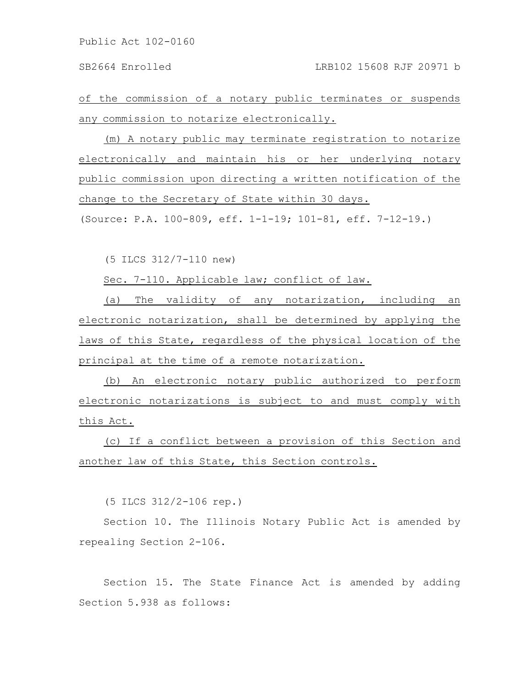of the commission of a notary public terminates or suspends any commission to notarize electronically.

(m) A notary public may terminate registration to notarize electronically and maintain his or her underlying notary public commission upon directing a written notification of the change to the Secretary of State within 30 days.

(Source: P.A. 100-809, eff. 1-1-19; 101-81, eff. 7-12-19.)

(5 ILCS 312/7-110 new)

Sec. 7-110. Applicable law; conflict of law.

(a) The validity of any notarization, including an electronic notarization, shall be determined by applying the laws of this State, regardless of the physical location of the principal at the time of a remote notarization.

(b) An electronic notary public authorized to perform electronic notarizations is subject to and must comply with this Act.

(c) If a conflict between a provision of this Section and another law of this State, this Section controls.

(5 ILCS 312/2-106 rep.)

Section 10. The Illinois Notary Public Act is amended by repealing Section 2-106.

Section 15. The State Finance Act is amended by adding Section 5.938 as follows: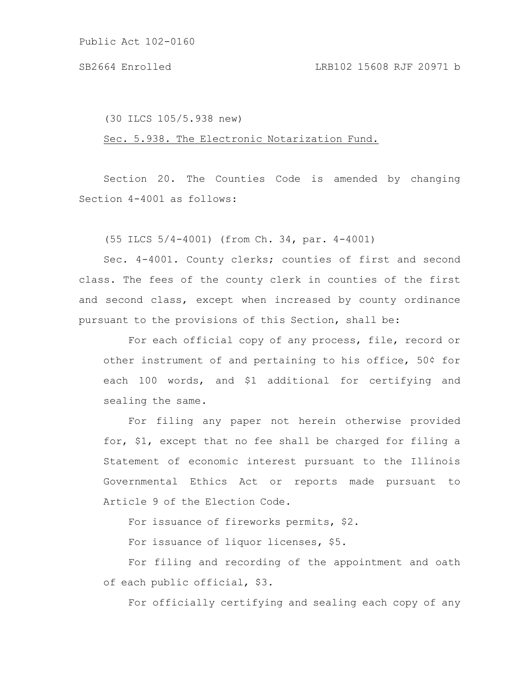(30 ILCS 105/5.938 new)

Sec. 5.938. The Electronic Notarization Fund.

Section 20. The Counties Code is amended by changing Section 4-4001 as follows:

(55 ILCS 5/4-4001) (from Ch. 34, par. 4-4001)

Sec. 4-4001. County clerks; counties of first and second class. The fees of the county clerk in counties of the first and second class, except when increased by county ordinance pursuant to the provisions of this Section, shall be:

For each official copy of any process, file, record or other instrument of and pertaining to his office, 50¢ for each 100 words, and \$1 additional for certifying and sealing the same.

For filing any paper not herein otherwise provided for, \$1, except that no fee shall be charged for filing a Statement of economic interest pursuant to the Illinois Governmental Ethics Act or reports made pursuant to Article 9 of the Election Code.

For issuance of fireworks permits, \$2.

For issuance of liquor licenses, \$5.

For filing and recording of the appointment and oath of each public official, \$3.

For officially certifying and sealing each copy of any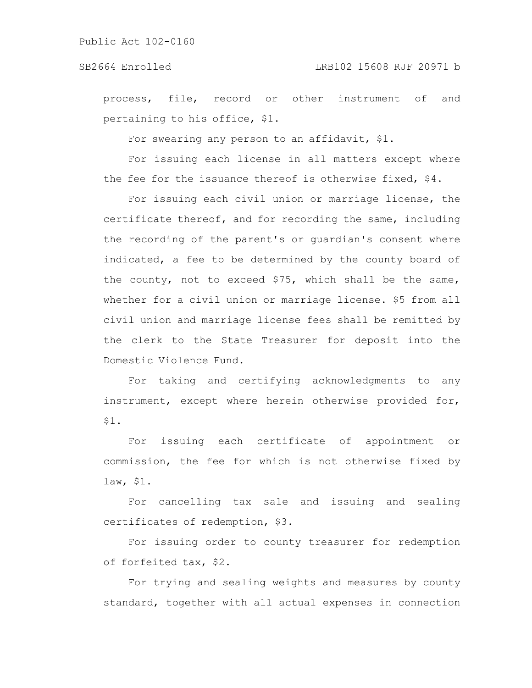# SB2664 Enrolled LRB102 15608 RJF 20971 b

process, file, record or other instrument of and pertaining to his office, \$1.

For swearing any person to an affidavit, \$1.

For issuing each license in all matters except where the fee for the issuance thereof is otherwise fixed, \$4.

For issuing each civil union or marriage license, the certificate thereof, and for recording the same, including the recording of the parent's or guardian's consent where indicated, a fee to be determined by the county board of the county, not to exceed \$75, which shall be the same, whether for a civil union or marriage license. \$5 from all civil union and marriage license fees shall be remitted by the clerk to the State Treasurer for deposit into the Domestic Violence Fund.

For taking and certifying acknowledgments to any instrument, except where herein otherwise provided for, \$1.

For issuing each certificate of appointment or commission, the fee for which is not otherwise fixed by law, \$1.

For cancelling tax sale and issuing and sealing certificates of redemption, \$3.

For issuing order to county treasurer for redemption of forfeited tax, \$2.

For trying and sealing weights and measures by county standard, together with all actual expenses in connection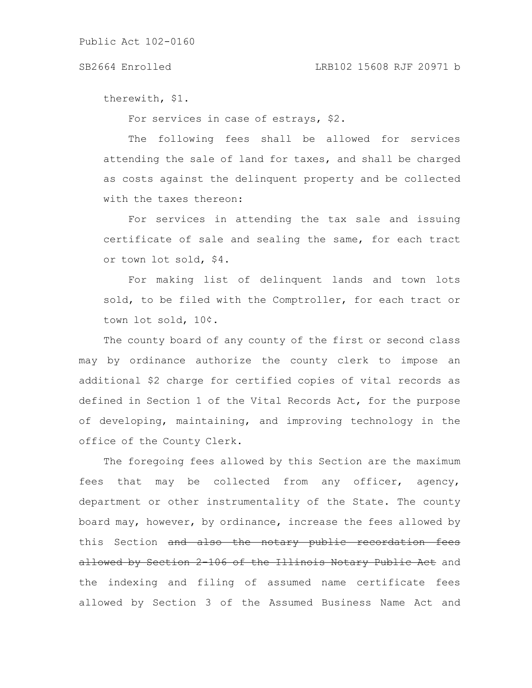#### SB2664 Enrolled LRB102 15608 RJF 20971 b

therewith, \$1.

For services in case of estrays, \$2.

The following fees shall be allowed for services attending the sale of land for taxes, and shall be charged as costs against the delinquent property and be collected with the taxes thereon:

For services in attending the tax sale and issuing certificate of sale and sealing the same, for each tract or town lot sold, \$4.

For making list of delinquent lands and town lots sold, to be filed with the Comptroller, for each tract or town lot sold, 10¢.

The county board of any county of the first or second class may by ordinance authorize the county clerk to impose an additional \$2 charge for certified copies of vital records as defined in Section 1 of the Vital Records Act, for the purpose of developing, maintaining, and improving technology in the office of the County Clerk.

The foregoing fees allowed by this Section are the maximum fees that may be collected from any officer, agency, department or other instrumentality of the State. The county board may, however, by ordinance, increase the fees allowed by this Section and also the notary public recordation fees allowed by Section 2-106 of the Illinois Notary Public Act and the indexing and filing of assumed name certificate fees allowed by Section 3 of the Assumed Business Name Act and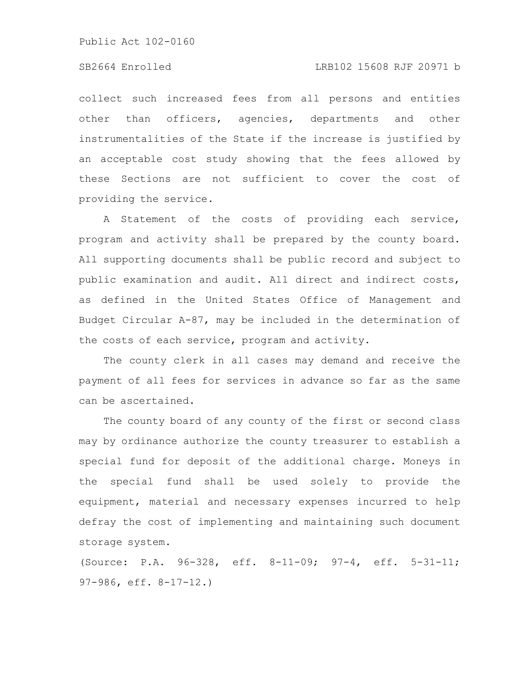# SB2664 Enrolled LRB102 15608 RJF 20971 b

collect such increased fees from all persons and entities other than officers, agencies, departments and other instrumentalities of the State if the increase is justified by an acceptable cost study showing that the fees allowed by these Sections are not sufficient to cover the cost of providing the service.

A Statement of the costs of providing each service, program and activity shall be prepared by the county board. All supporting documents shall be public record and subject to public examination and audit. All direct and indirect costs, as defined in the United States Office of Management and Budget Circular A-87, may be included in the determination of the costs of each service, program and activity.

The county clerk in all cases may demand and receive the payment of all fees for services in advance so far as the same can be ascertained.

The county board of any county of the first or second class may by ordinance authorize the county treasurer to establish a special fund for deposit of the additional charge. Moneys in the special fund shall be used solely to provide the equipment, material and necessary expenses incurred to help defray the cost of implementing and maintaining such document storage system.

(Source: P.A. 96-328, eff. 8-11-09; 97-4, eff. 5-31-11; 97-986, eff. 8-17-12.)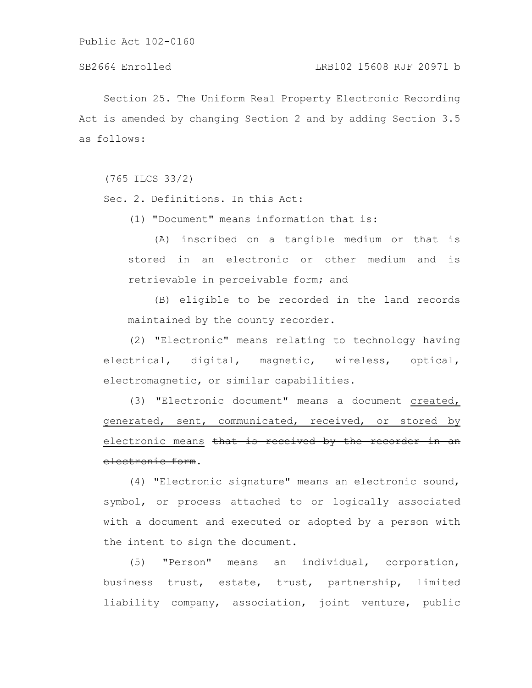Section 25. The Uniform Real Property Electronic Recording Act is amended by changing Section 2 and by adding Section 3.5 as follows:

(765 ILCS 33/2)

Sec. 2. Definitions. In this Act:

(1) "Document" means information that is:

(A) inscribed on a tangible medium or that is stored in an electronic or other medium and is retrievable in perceivable form; and

(B) eligible to be recorded in the land records maintained by the county recorder.

(2) "Electronic" means relating to technology having electrical, digital, magnetic, wireless, optical, electromagnetic, or similar capabilities.

(3) "Electronic document" means a document created, generated, sent, communicated, received, or stored by electronic means that is received by the recorder electronic form.

(4) "Electronic signature" means an electronic sound, symbol, or process attached to or logically associated with a document and executed or adopted by a person with the intent to sign the document.

(5) "Person" means an individual, corporation, business trust, estate, trust, partnership, limited liability company, association, joint venture, public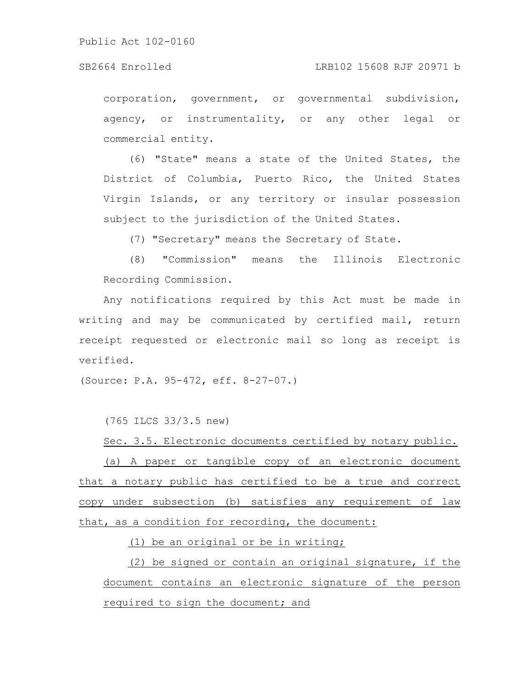### SB2664 Enrolled LRB102 15608 RJF 20971 b

corporation, government, or governmental subdivision, agency, or instrumentality, or any other legal or commercial entity.

(6) "State" means a state of the United States, the District of Columbia, Puerto Rico, the United States Virgin Islands, or any territory or insular possession subject to the jurisdiction of the United States.

(7) "Secretary" means the Secretary of State.

(8) "Commission" means the Illinois Electronic Recording Commission.

Any notifications required by this Act must be made in writing and may be communicated by certified mail, return receipt requested or electronic mail so long as receipt is verified.

(Source: P.A. 95-472, eff. 8-27-07.)

(765 ILCS 33/3.5 new)

Sec. 3.5. Electronic documents certified by notary public. (a) A paper or tangible copy of an electronic document that a notary public has certified to be a true and correct copy under subsection (b) satisfies any requirement of law that, as a condition for recording, the document:

(1) be an original or be in writing;

(2) be signed or contain an original signature, if the document contains an electronic signature of the person required to sign the document; and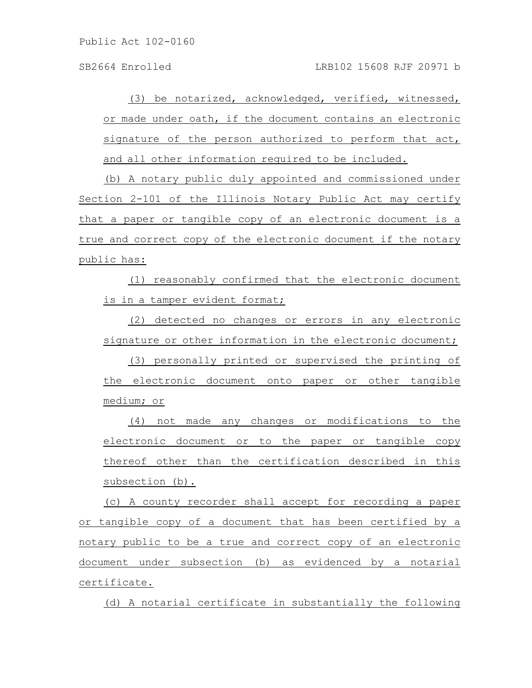(3) be notarized, acknowledged, verified, witnessed, or made under oath, if the document contains an electronic signature of the person authorized to perform that act, and all other information required to be included.

(b) A notary public duly appointed and commissioned under Section 2-101 of the Illinois Notary Public Act may certify that a paper or tangible copy of an electronic document is a true and correct copy of the electronic document if the notary public has:

(1) reasonably confirmed that the electronic document is in a tamper evident format;

(2) detected no changes or errors in any electronic signature or other information in the electronic document;

(3) personally printed or supervised the printing of the electronic document onto paper or other tangible medium; or

(4) not made any changes or modifications to the electronic document or to the paper or tangible copy thereof other than the certification described in this subsection (b).

(c) A county recorder shall accept for recording a paper or tangible copy of a document that has been certified by a notary public to be a true and correct copy of an electronic document under subsection (b) as evidenced by a notarial certificate.

(d) A notarial certificate in substantially the following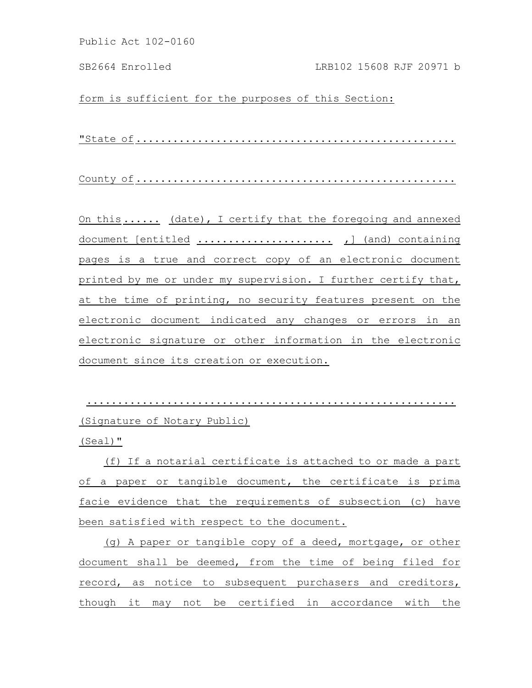form is sufficient for the purposes of this Section:

"State of ....................................................

County of ....................................................

On this ...... (date), I certify that the foregoing and annexed document [entitled ...................... ,] (and) containing pages is a true and correct copy of an electronic document printed by me or under my supervision. I further certify that, at the time of printing, no security features present on the electronic document indicated any changes or errors in an electronic signature or other information in the electronic document since its creation or execution.

............................................................ (Signature of Notary Public)

(Seal)"

(f) If a notarial certificate is attached to or made a part of a paper or tangible document, the certificate is prima facie evidence that the requirements of subsection (c) have been satisfied with respect to the document.

(g) A paper or tangible copy of a deed, mortgage, or other document shall be deemed, from the time of being filed for record, as notice to subsequent purchasers and creditors, though it may not be certified in accordance with the